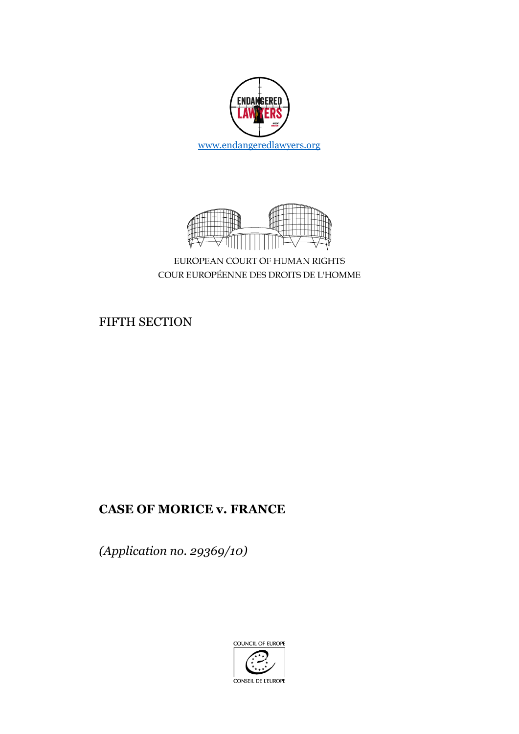



EUROPEAN COURT OF HUMAN RIGHTS COUR EUROPÉENNE DES DROITS DE L'HOMME

FIFTH SECTION

## **CASE OF MORICE v. FRANCE**

*(Application no. 29369/10)*

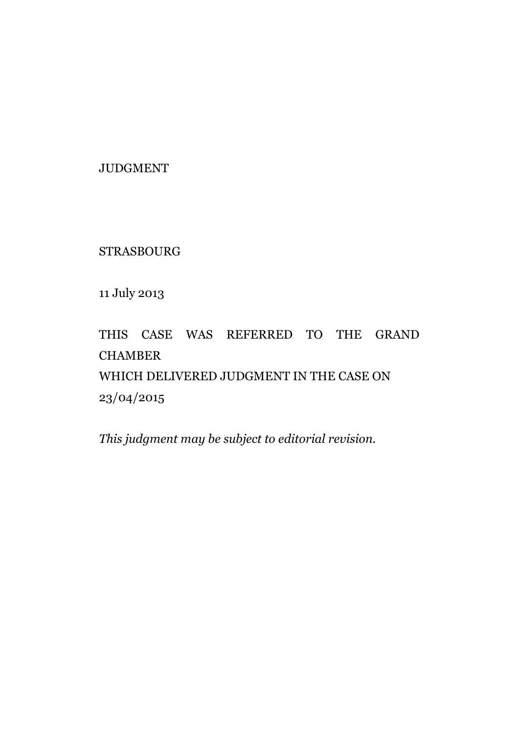JUDGMENT

STRASBOURG

11 July 2013

# THIS CASE WAS REFERRED TO THE GRAND **CHAMBER** WHICH DELIVERED JUDGMENT IN THE CASE ON 23/04/2015

*This judgment may be subject to editorial revision.*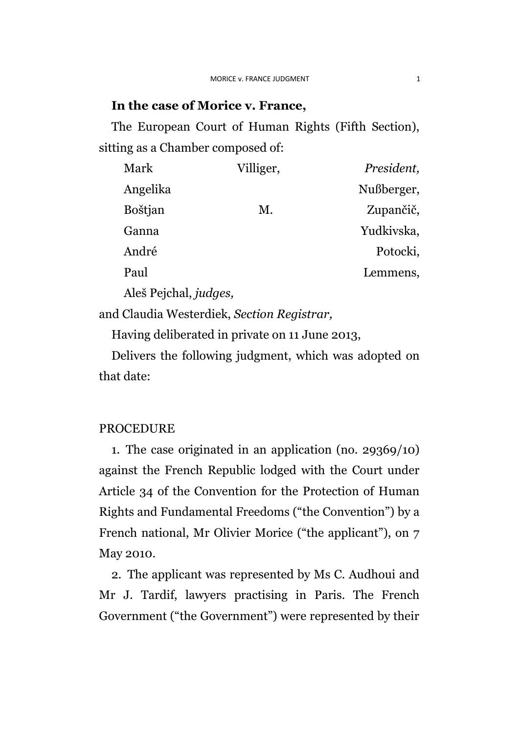### **In the case of Morice v. France,**

The European Court of Human Rights (Fifth Section), sitting as a Chamber composed of:

| Mark     | Villiger, | President, |
|----------|-----------|------------|
| Angelika |           | Nußberger, |
| Boštjan  | Μ.        | Zupančič,  |
| Ganna    |           | Yudkivska, |
| André    |           | Potocki,   |
| Paul     |           | Lemmens,   |
|          |           |            |

Aleš Pejchal, *judges,*

and Claudia Westerdiek, *Section Registrar,*

Having deliberated in private on 11 June 2013,

Delivers the following judgment, which was adopted on that date:

### PROCEDURE

1. The case originated in an application (no. 29369/10) against the French Republic lodged with the Court under Article 34 of the Convention for the Protection of Human Rights and Fundamental Freedoms ("the Convention") by a French national, Mr Olivier Morice ("the applicant"), on 7 May 2010.

2. The applicant was represented by Ms C. Audhoui and Mr J. Tardif, lawyers practising in Paris. The French Government ("the Government") were represented by their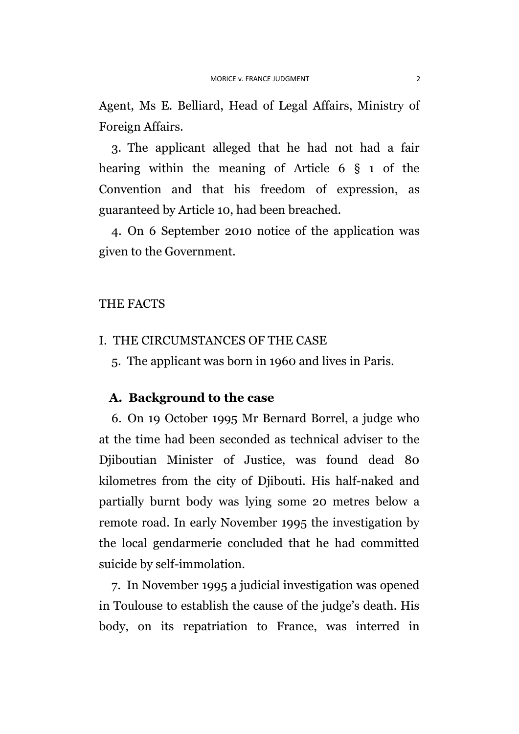Agent, Ms E. Belliard, Head of Legal Affairs, Ministry of Foreign Affairs.

3. The applicant alleged that he had not had a fair hearing within the meaning of Article 6 § 1 of the Convention and that his freedom of expression, as guaranteed by Article 10, had been breached.

4. On 6 September 2010 notice of the application was given to the Government.

#### THE FACTS

- I. THE CIRCUMSTANCES OF THE CASE
	- 5. The applicant was born in 1960 and lives in Paris.

## **A. Background to the case**

6. On 19 October 1995 Mr Bernard Borrel, a judge who at the time had been seconded as technical adviser to the Djiboutian Minister of Justice, was found dead 80 kilometres from the city of Djibouti. His half-naked and partially burnt body was lying some 20 metres below a remote road. In early November 1995 the investigation by the local gendarmerie concluded that he had committed suicide by self-immolation.

7. In November 1995 a judicial investigation was opened in Toulouse to establish the cause of the judge's death. His body, on its repatriation to France, was interred in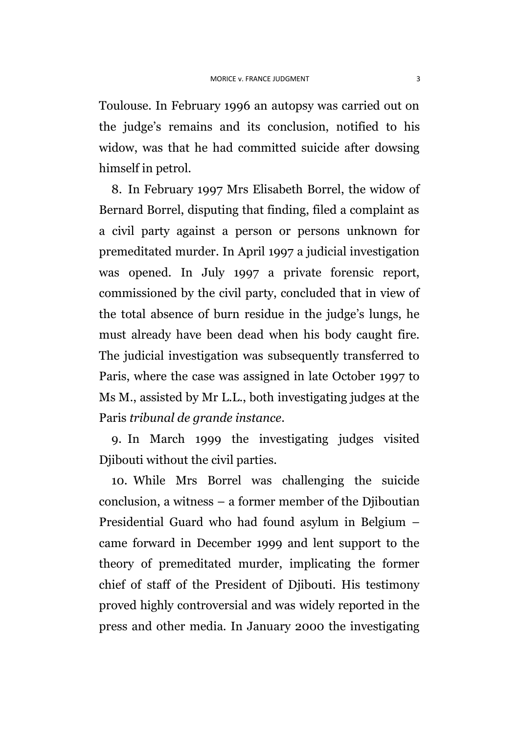Toulouse. In February 1996 an autopsy was carried out on the judge's remains and its conclusion, notified to his widow, was that he had committed suicide after dowsing himself in petrol.

8. In February 1997 Mrs Elisabeth Borrel, the widow of Bernard Borrel, disputing that finding, filed a complaint as a civil party against a person or persons unknown for premeditated murder. In April 1997 a judicial investigation was opened. In July 1997 a private forensic report, commissioned by the civil party, concluded that in view of the total absence of burn residue in the judge's lungs, he must already have been dead when his body caught fire. The judicial investigation was subsequently transferred to Paris, where the case was assigned in late October 1997 to Ms M., assisted by Mr L.L., both investigating judges at the Paris *tribunal de grande instance*.

9. In March 1999 the investigating judges visited Djibouti without the civil parties.

10. While Mrs Borrel was challenging the suicide conclusion, a witness – a former member of the Djiboutian Presidential Guard who had found asylum in Belgium – came forward in December 1999 and lent support to the theory of premeditated murder, implicating the former chief of staff of the President of Djibouti. His testimony proved highly controversial and was widely reported in the press and other media. In January 2000 the investigating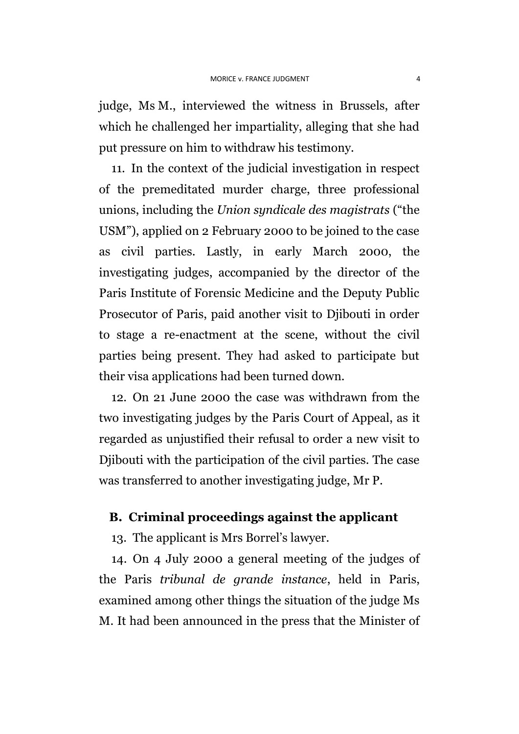judge, Ms M., interviewed the witness in Brussels, after which he challenged her impartiality, alleging that she had put pressure on him to withdraw his testimony.

11. In the context of the judicial investigation in respect of the premeditated murder charge, three professional unions, including the *Union syndicale des magistrats* ("the USM"), applied on 2 February 2000 to be joined to the case as civil parties. Lastly, in early March 2000, the investigating judges, accompanied by the director of the Paris Institute of Forensic Medicine and the Deputy Public Prosecutor of Paris, paid another visit to Djibouti in order to stage a re-enactment at the scene, without the civil parties being present. They had asked to participate but their visa applications had been turned down.

12. On 21 June 2000 the case was withdrawn from the two investigating judges by the Paris Court of Appeal, as it regarded as unjustified their refusal to order a new visit to Djibouti with the participation of the civil parties. The case was transferred to another investigating judge, Mr P.

## **B. Criminal proceedings against the applicant**

13. The applicant is Mrs Borrel's lawyer.

14. On 4 July 2000 a general meeting of the judges of the Paris *tribunal de grande instance*, held in Paris, examined among other things the situation of the judge Ms M. It had been announced in the press that the Minister of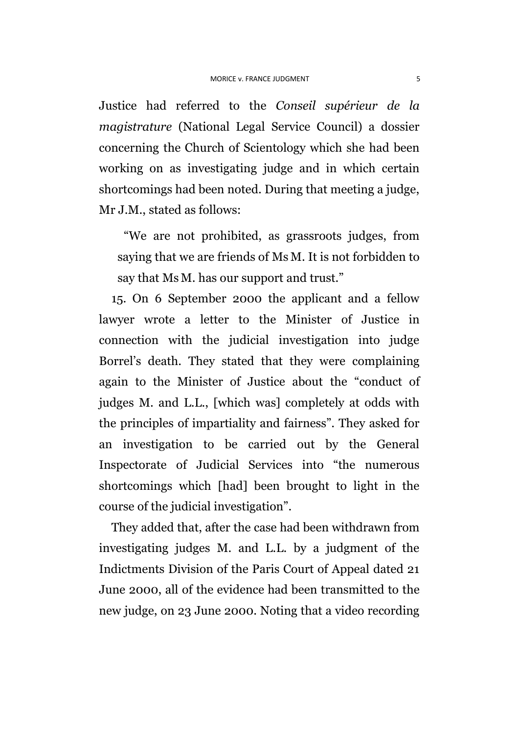Justice had referred to the *Conseil supérieur de la magistrature* (National Legal Service Council) a dossier concerning the Church of Scientology which she had been working on as investigating judge and in which certain shortcomings had been noted. During that meeting a judge, Mr J.M., stated as follows:

"We are not prohibited, as grassroots judges, from saying that we are friends of Ms M. It is not forbidden to say that Ms M. has our support and trust."

15. On 6 September 2000 the applicant and a fellow lawyer wrote a letter to the Minister of Justice in connection with the judicial investigation into judge Borrel's death. They stated that they were complaining again to the Minister of Justice about the "conduct of judges M. and L.L., [which was] completely at odds with the principles of impartiality and fairness". They asked for an investigation to be carried out by the General Inspectorate of Judicial Services into "the numerous shortcomings which [had] been brought to light in the course of the judicial investigation".

They added that, after the case had been withdrawn from investigating judges M. and L.L. by a judgment of the Indictments Division of the Paris Court of Appeal dated 21 June 2000, all of the evidence had been transmitted to the new judge, on 23 June 2000. Noting that a video recording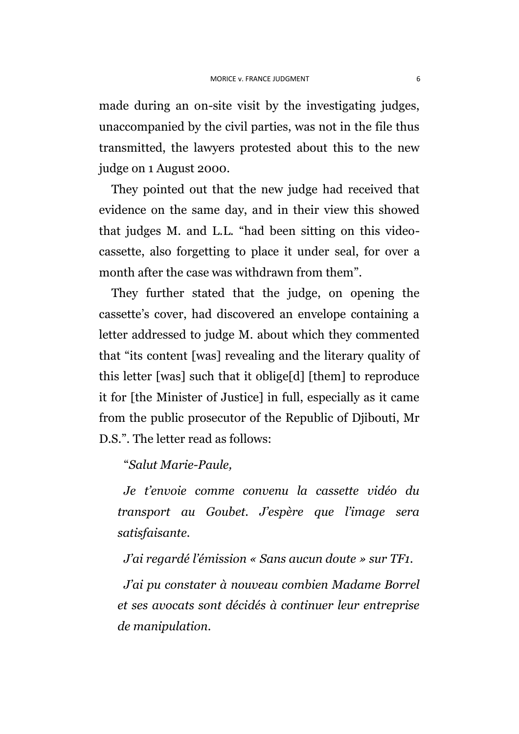made during an on-site visit by the investigating judges, unaccompanied by the civil parties, was not in the file thus transmitted, the lawyers protested about this to the new judge on 1 August 2000.

They pointed out that the new judge had received that evidence on the same day, and in their view this showed that judges M. and L.L. "had been sitting on this videocassette, also forgetting to place it under seal, for over a month after the case was withdrawn from them".

They further stated that the judge, on opening the cassette's cover, had discovered an envelope containing a letter addressed to judge M. about which they commented that "its content [was] revealing and the literary quality of this letter [was] such that it oblige[d] [them] to reproduce it for [the Minister of Justice] in full, especially as it came from the public prosecutor of the Republic of Djibouti, Mr D.S.". The letter read as follows:

"*Salut Marie-Paule,*

*Je t'envoie comme convenu la cassette vidéo du transport au Goubet. J'espère que l'image sera satisfaisante.*

*J'ai regardé l'émission « Sans aucun doute » sur TF1.*

*J'ai pu constater à nouveau combien Madame Borrel et ses avocats sont décidés à continuer leur entreprise de manipulation.*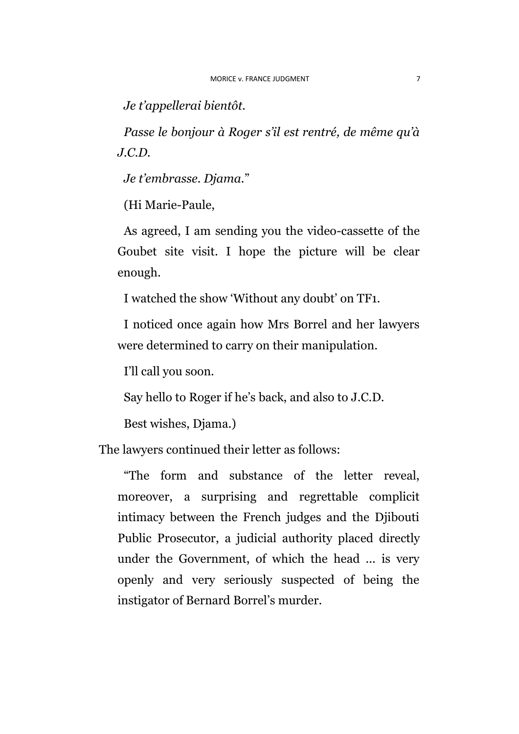*Je t'appellerai bientôt.*

*Passe le bonjour à Roger s'il est rentré, de même qu'à J.C.D.*

*Je t'embrasse. Djama.*"

(Hi Marie-Paule,

As agreed, I am sending you the video-cassette of the Goubet site visit. I hope the picture will be clear enough.

I watched the show 'Without any doubt' on TF1.

I noticed once again how Mrs Borrel and her lawyers were determined to carry on their manipulation.

I'll call you soon.

Say hello to Roger if he's back, and also to J.C.D.

Best wishes, Djama.)

The lawyers continued their letter as follows:

"The form and substance of the letter reveal, moreover, a surprising and regrettable complicit intimacy between the French judges and the Djibouti Public Prosecutor, a judicial authority placed directly under the Government, of which the head ... is very openly and very seriously suspected of being the instigator of Bernard Borrel's murder.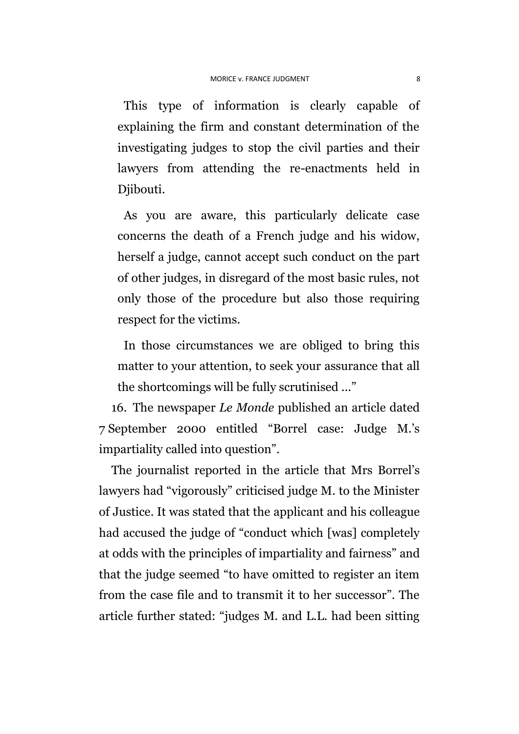This type of information is clearly capable of explaining the firm and constant determination of the investigating judges to stop the civil parties and their lawyers from attending the re-enactments held in Djibouti.

As you are aware, this particularly delicate case concerns the death of a French judge and his widow, herself a judge, cannot accept such conduct on the part of other judges, in disregard of the most basic rules, not only those of the procedure but also those requiring respect for the victims.

In those circumstances we are obliged to bring this matter to your attention, to seek your assurance that all the shortcomings will be fully scrutinised ..."

16. The newspaper *Le Monde* published an article dated 7 September 2000 entitled "Borrel case: Judge M.'s impartiality called into question".

The journalist reported in the article that Mrs Borrel's lawyers had "vigorously" criticised judge M. to the Minister of Justice. It was stated that the applicant and his colleague had accused the judge of "conduct which [was] completely at odds with the principles of impartiality and fairness" and that the judge seemed "to have omitted to register an item from the case file and to transmit it to her successor". The article further stated: "judges M. and L.L. had been sitting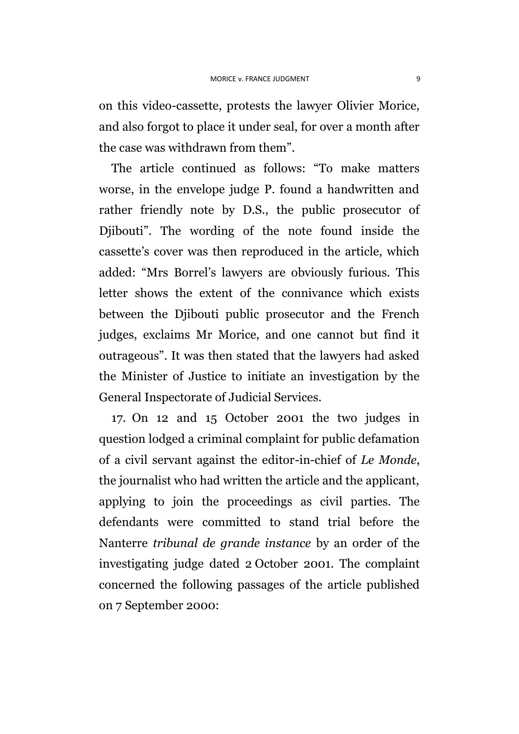on this video-cassette, protests the lawyer Olivier Morice, and also forgot to place it under seal, for over a month after the case was withdrawn from them".

The article continued as follows: "To make matters worse, in the envelope judge P. found a handwritten and rather friendly note by D.S., the public prosecutor of Djibouti". The wording of the note found inside the cassette's cover was then reproduced in the article, which added: "Mrs Borrel's lawyers are obviously furious. This letter shows the extent of the connivance which exists between the Djibouti public prosecutor and the French judges, exclaims Mr Morice, and one cannot but find it outrageous". It was then stated that the lawyers had asked the Minister of Justice to initiate an investigation by the General Inspectorate of Judicial Services.

17. On 12 and 15 October 2001 the two judges in question lodged a criminal complaint for public defamation of a civil servant against the editor-in-chief of *Le Monde*, the journalist who had written the article and the applicant, applying to join the proceedings as civil parties. The defendants were committed to stand trial before the Nanterre *tribunal de grande instance* by an order of the investigating judge dated 2 October 2001. The complaint concerned the following passages of the article published on 7 September 2000: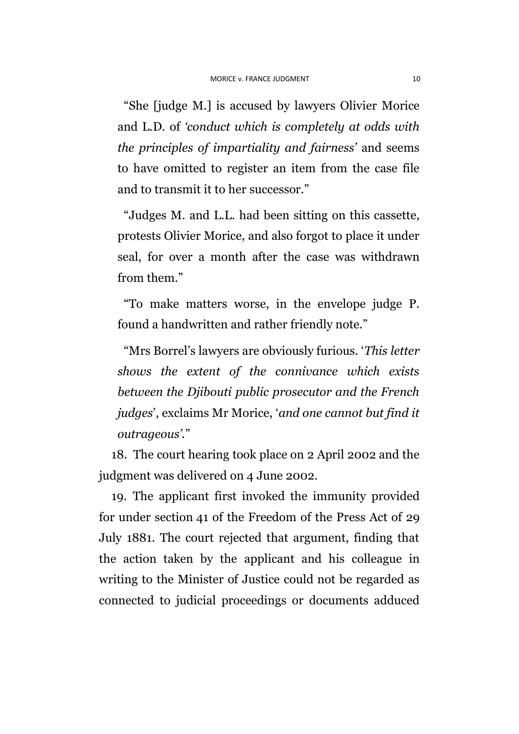"She [judge M.] is accused by lawyers Olivier Morice and L.D. of *'conduct which is completely at odds with the principles of impartiality and fairness'* and seems to have omitted to register an item from the case file and to transmit it to her successor."

"Judges M. and L.L. had been sitting on this cassette, protests Olivier Morice, and also forgot to place it under seal, for over a month after the case was withdrawn from them."

"To make matters worse, in the envelope judge P. found a handwritten and rather friendly note."

"Mrs Borrel's lawyers are obviously furious. '*This letter shows the extent of the connivance which exists between the Djibouti public prosecutor and the French judges*', exclaims Mr Morice, '*and one cannot but find it outrageous'.*"

18. The court hearing took place on 2 April 2002 and the judgment was delivered on 4 June 2002.

19. The applicant first invoked the immunity provided for under section 41 of the Freedom of the Press Act of 29 July 1881. The court rejected that argument, finding that the action taken by the applicant and his colleague in writing to the Minister of Justice could not be regarded as connected to judicial proceedings or documents adduced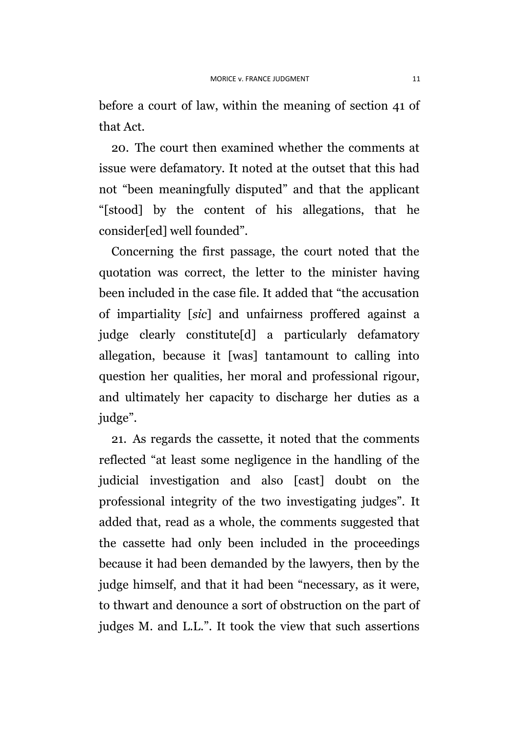before a court of law, within the meaning of section 41 of that Act.

20. The court then examined whether the comments at issue were defamatory. It noted at the outset that this had not "been meaningfully disputed" and that the applicant "[stood] by the content of his allegations, that he consider[ed] well founded".

Concerning the first passage, the court noted that the quotation was correct, the letter to the minister having been included in the case file. It added that "the accusation of impartiality [*sic*] and unfairness proffered against a judge clearly constitute[d] a particularly defamatory allegation, because it [was] tantamount to calling into question her qualities, her moral and professional rigour, and ultimately her capacity to discharge her duties as a judge".

21. As regards the cassette, it noted that the comments reflected "at least some negligence in the handling of the judicial investigation and also [cast] doubt on the professional integrity of the two investigating judges". It added that, read as a whole, the comments suggested that the cassette had only been included in the proceedings because it had been demanded by the lawyers, then by the judge himself, and that it had been "necessary, as it were, to thwart and denounce a sort of obstruction on the part of judges M. and L.L.". It took the view that such assertions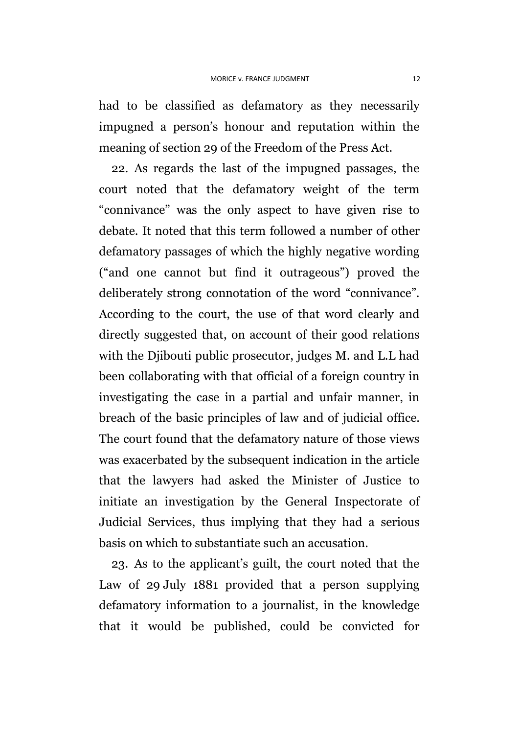had to be classified as defamatory as they necessarily impugned a person's honour and reputation within the meaning of section 29 of the Freedom of the Press Act.

22. As regards the last of the impugned passages, the court noted that the defamatory weight of the term "connivance" was the only aspect to have given rise to debate. It noted that this term followed a number of other defamatory passages of which the highly negative wording ("and one cannot but find it outrageous") proved the deliberately strong connotation of the word "connivance". According to the court, the use of that word clearly and directly suggested that, on account of their good relations with the Djibouti public prosecutor, judges M. and L.L had been collaborating with that official of a foreign country in investigating the case in a partial and unfair manner, in breach of the basic principles of law and of judicial office. The court found that the defamatory nature of those views was exacerbated by the subsequent indication in the article that the lawyers had asked the Minister of Justice to initiate an investigation by the General Inspectorate of Judicial Services, thus implying that they had a serious basis on which to substantiate such an accusation.

23. As to the applicant's guilt, the court noted that the Law of 29 July 1881 provided that a person supplying defamatory information to a journalist, in the knowledge that it would be published, could be convicted for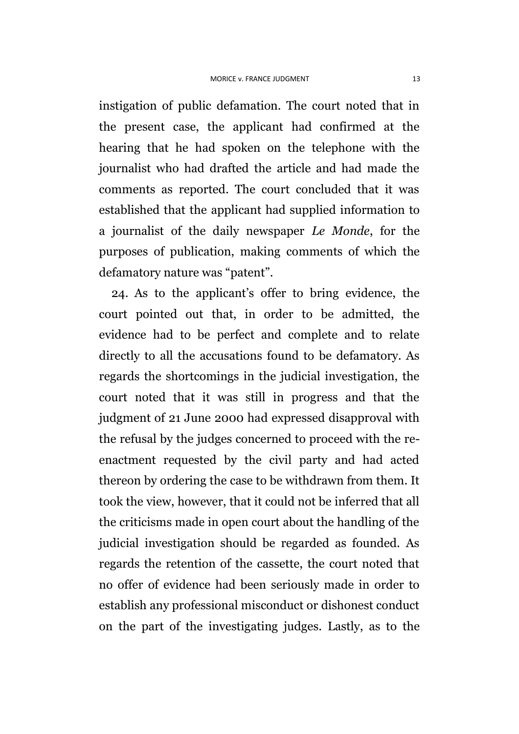instigation of public defamation. The court noted that in the present case, the applicant had confirmed at the hearing that he had spoken on the telephone with the journalist who had drafted the article and had made the comments as reported. The court concluded that it was established that the applicant had supplied information to a journalist of the daily newspaper *Le Monde*, for the purposes of publication, making comments of which the defamatory nature was "patent".

24. As to the applicant's offer to bring evidence, the court pointed out that, in order to be admitted, the evidence had to be perfect and complete and to relate directly to all the accusations found to be defamatory. As regards the shortcomings in the judicial investigation, the court noted that it was still in progress and that the judgment of 21 June 2000 had expressed disapproval with the refusal by the judges concerned to proceed with the reenactment requested by the civil party and had acted thereon by ordering the case to be withdrawn from them. It took the view, however, that it could not be inferred that all the criticisms made in open court about the handling of the judicial investigation should be regarded as founded. As regards the retention of the cassette, the court noted that no offer of evidence had been seriously made in order to establish any professional misconduct or dishonest conduct on the part of the investigating judges. Lastly, as to the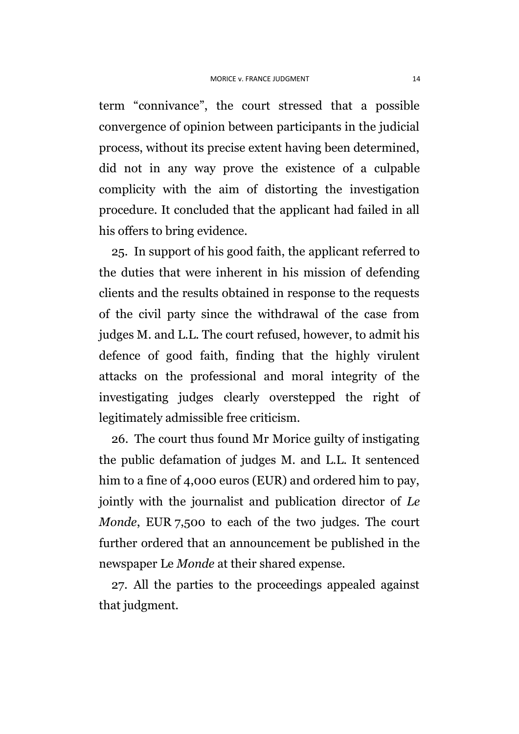term "connivance", the court stressed that a possible convergence of opinion between participants in the judicial process, without its precise extent having been determined, did not in any way prove the existence of a culpable complicity with the aim of distorting the investigation procedure. It concluded that the applicant had failed in all his offers to bring evidence.

25. In support of his good faith, the applicant referred to the duties that were inherent in his mission of defending clients and the results obtained in response to the requests of the civil party since the withdrawal of the case from judges M. and L.L. The court refused, however, to admit his defence of good faith, finding that the highly virulent attacks on the professional and moral integrity of the investigating judges clearly overstepped the right of legitimately admissible free criticism.

26. The court thus found Mr Morice guilty of instigating the public defamation of judges M. and L.L. It sentenced him to a fine of 4,000 euros (EUR) and ordered him to pay, jointly with the journalist and publication director of *Le Monde*, EUR 7,500 to each of the two judges. The court further ordered that an announcement be published in the newspaper Le *Monde* at their shared expense.

27. All the parties to the proceedings appealed against that judgment.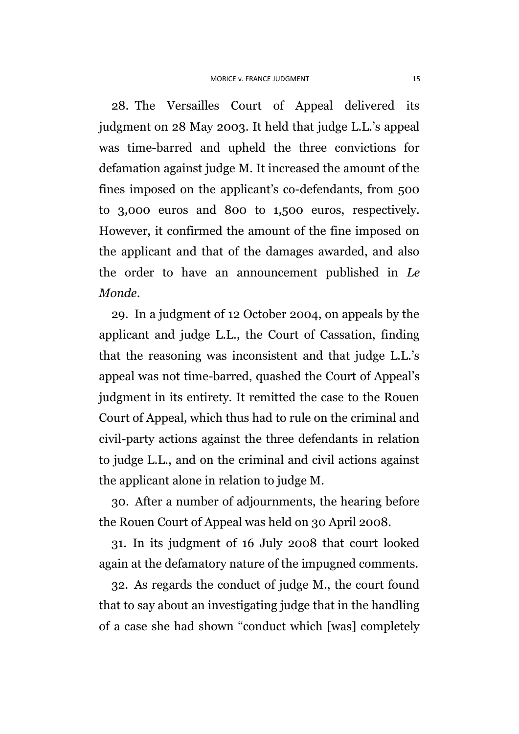28. The Versailles Court of Appeal delivered its judgment on 28 May 2003. It held that judge L.L.'s appeal was time-barred and upheld the three convictions for defamation against judge M. It increased the amount of the fines imposed on the applicant's co-defendants, from 500 to 3,000 euros and 800 to 1,500 euros, respectively. However, it confirmed the amount of the fine imposed on the applicant and that of the damages awarded, and also the order to have an announcement published in *Le Monde*.

29. In a judgment of 12 October 2004, on appeals by the applicant and judge L.L., the Court of Cassation, finding that the reasoning was inconsistent and that judge L.L.'s appeal was not time-barred, quashed the Court of Appeal's judgment in its entirety. It remitted the case to the Rouen Court of Appeal, which thus had to rule on the criminal and civil-party actions against the three defendants in relation to judge L.L., and on the criminal and civil actions against the applicant alone in relation to judge M.

30. After a number of adjournments, the hearing before the Rouen Court of Appeal was held on 30 April 2008.

31. In its judgment of 16 July 2008 that court looked again at the defamatory nature of the impugned comments.

32. As regards the conduct of judge M., the court found that to say about an investigating judge that in the handling of a case she had shown "conduct which [was] completely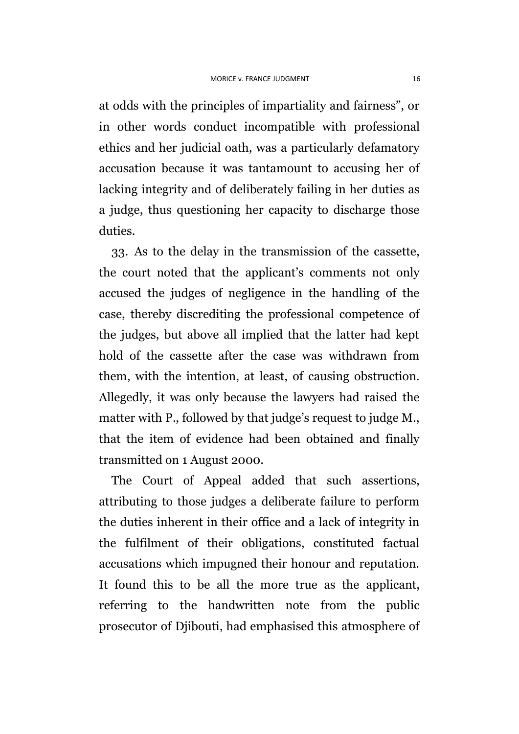at odds with the principles of impartiality and fairness", or in other words conduct incompatible with professional ethics and her judicial oath, was a particularly defamatory accusation because it was tantamount to accusing her of lacking integrity and of deliberately failing in her duties as a judge, thus questioning her capacity to discharge those duties.

33. As to the delay in the transmission of the cassette, the court noted that the applicant's comments not only accused the judges of negligence in the handling of the case, thereby discrediting the professional competence of the judges, but above all implied that the latter had kept hold of the cassette after the case was withdrawn from them, with the intention, at least, of causing obstruction. Allegedly, it was only because the lawyers had raised the matter with P., followed by that judge's request to judge M., that the item of evidence had been obtained and finally transmitted on 1 August 2000.

The Court of Appeal added that such assertions, attributing to those judges a deliberate failure to perform the duties inherent in their office and a lack of integrity in the fulfilment of their obligations, constituted factual accusations which impugned their honour and reputation. It found this to be all the more true as the applicant, referring to the handwritten note from the public prosecutor of Djibouti, had emphasised this atmosphere of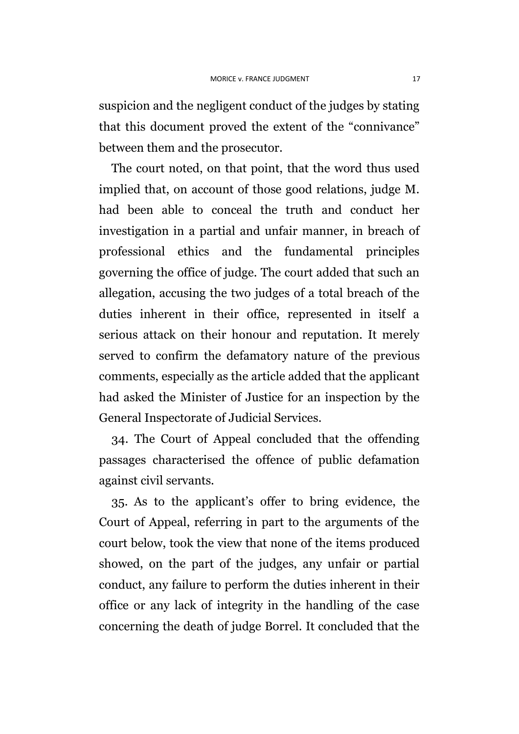suspicion and the negligent conduct of the judges by stating that this document proved the extent of the "connivance" between them and the prosecutor.

The court noted, on that point, that the word thus used implied that, on account of those good relations, judge M. had been able to conceal the truth and conduct her investigation in a partial and unfair manner, in breach of professional ethics and the fundamental principles governing the office of judge. The court added that such an allegation, accusing the two judges of a total breach of the duties inherent in their office, represented in itself a serious attack on their honour and reputation. It merely served to confirm the defamatory nature of the previous comments, especially as the article added that the applicant had asked the Minister of Justice for an inspection by the General Inspectorate of Judicial Services.

34. The Court of Appeal concluded that the offending passages characterised the offence of public defamation against civil servants.

35. As to the applicant's offer to bring evidence, the Court of Appeal, referring in part to the arguments of the court below, took the view that none of the items produced showed, on the part of the judges, any unfair or partial conduct, any failure to perform the duties inherent in their office or any lack of integrity in the handling of the case concerning the death of judge Borrel. It concluded that the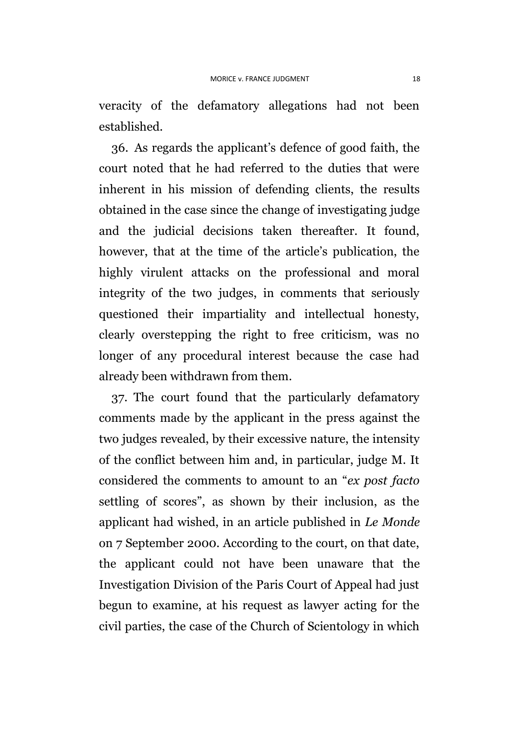veracity of the defamatory allegations had not been established.

36. As regards the applicant's defence of good faith, the court noted that he had referred to the duties that were inherent in his mission of defending clients, the results obtained in the case since the change of investigating judge and the judicial decisions taken thereafter. It found, however, that at the time of the article's publication, the highly virulent attacks on the professional and moral integrity of the two judges, in comments that seriously questioned their impartiality and intellectual honesty, clearly overstepping the right to free criticism, was no longer of any procedural interest because the case had already been withdrawn from them.

<span id="page-19-0"></span>37. The court found that the particularly defamatory comments made by the applicant in the press against the two judges revealed, by their excessive nature, the intensity of the conflict between him and, in particular, judge M. It considered the comments to amount to an "*ex post facto* settling of scores", as shown by their inclusion, as the applicant had wished, in an article published in *Le Monde* on 7 September 2000. According to the court, on that date, the applicant could not have been unaware that the Investigation Division of the Paris Court of Appeal had just begun to examine, at his request as lawyer acting for the civil parties, the case of the Church of Scientology in which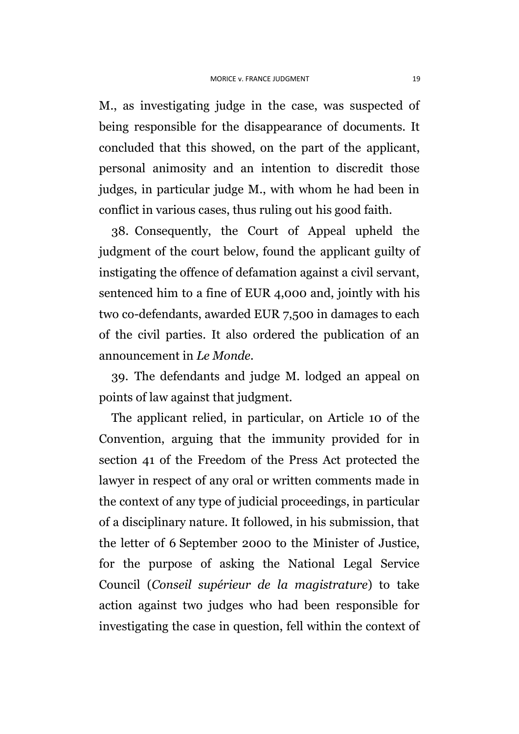M., as investigating judge in the case, was suspected of being responsible for the disappearance of documents. It concluded that this showed, on the part of the applicant, personal animosity and an intention to discredit those judges, in particular judge M., with whom he had been in conflict in various cases, thus ruling out his good faith.

38. Consequently, the Court of Appeal upheld the judgment of the court below, found the applicant guilty of instigating the offence of defamation against a civil servant, sentenced him to a fine of EUR 4,000 and, jointly with his two co-defendants, awarded EUR 7,500 in damages to each of the civil parties. It also ordered the publication of an announcement in *Le Monde*.

39. The defendants and judge M. lodged an appeal on points of law against that judgment.

The applicant relied, in particular, on Article 10 of the Convention, arguing that the immunity provided for in section 41 of the Freedom of the Press Act protected the lawyer in respect of any oral or written comments made in the context of any type of judicial proceedings, in particular of a disciplinary nature. It followed, in his submission, that the letter of 6 September 2000 to the Minister of Justice, for the purpose of asking the National Legal Service Council (*Conseil supérieur de la magistrature*) to take action against two judges who had been responsible for investigating the case in question, fell within the context of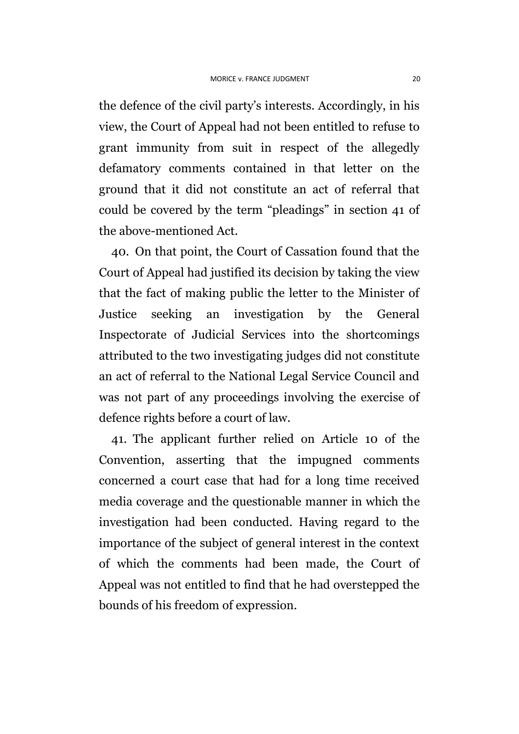the defence of the civil party's interests. Accordingly, in his view, the Court of Appeal had not been entitled to refuse to grant immunity from suit in respect of the allegedly defamatory comments contained in that letter on the ground that it did not constitute an act of referral that could be covered by the term "pleadings" in section 41 of the above-mentioned Act.

40. On that point, the Court of Cassation found that the Court of Appeal had justified its decision by taking the view that the fact of making public the letter to the Minister of Justice seeking an investigation by the General Inspectorate of Judicial Services into the shortcomings attributed to the two investigating judges did not constitute an act of referral to the National Legal Service Council and was not part of any proceedings involving the exercise of defence rights before a court of law.

41. The applicant further relied on Article 10 of the Convention, asserting that the impugned comments concerned a court case that had for a long time received media coverage and the questionable manner in which the investigation had been conducted. Having regard to the importance of the subject of general interest in the context of which the comments had been made, the Court of Appeal was not entitled to find that he had overstepped the bounds of his freedom of expression.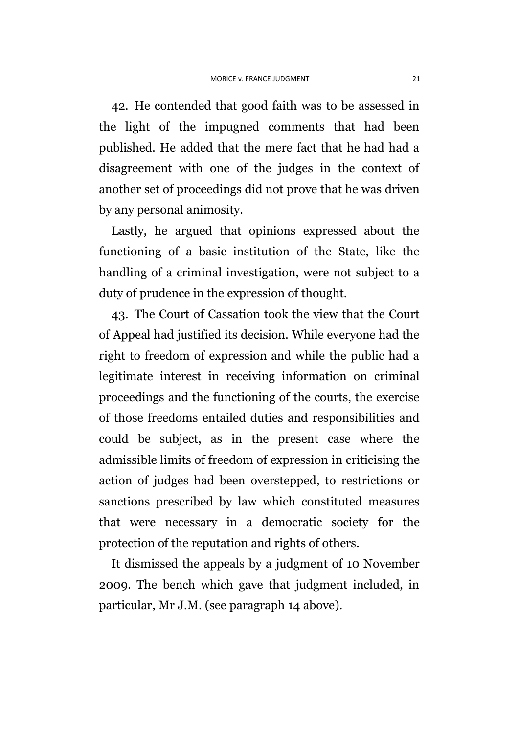42. He contended that good faith was to be assessed in the light of the impugned comments that had been published. He added that the mere fact that he had had a disagreement with one of the judges in the context of another set of proceedings did not prove that he was driven by any personal animosity.

Lastly, he argued that opinions expressed about the functioning of a basic institution of the State, like the handling of a criminal investigation, were not subject to a duty of prudence in the expression of thought.

43. The Court of Cassation took the view that the Court of Appeal had justified its decision. While everyone had the right to freedom of expression and while the public had a legitimate interest in receiving information on criminal proceedings and the functioning of the courts, the exercise of those freedoms entailed duties and responsibilities and could be subject, as in the present case where the admissible limits of freedom of expression in criticising the action of judges had been overstepped, to restrictions or sanctions prescribed by law which constituted measures that were necessary in a democratic society for the protection of the reputation and rights of others.

It dismissed the appeals by a judgment of 10 November 2009. The bench which gave that judgment included, in particular, Mr J.M. (see paragraph 14 above).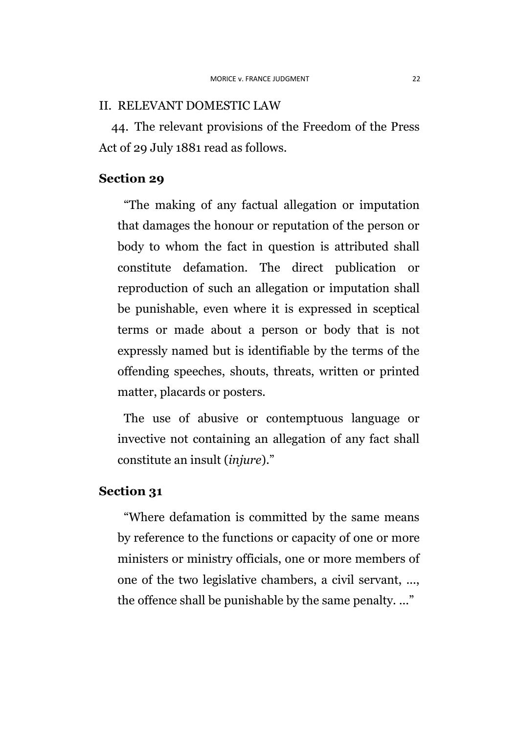#### II. RELEVANT DOMESTIC LAW

44. The relevant provisions of the Freedom of the Press Act of 29 July 1881 read as follows.

#### **Section 29**

"The making of any factual allegation or imputation that damages the honour or reputation of the person or body to whom the fact in question is attributed shall constitute defamation. The direct publication or reproduction of such an allegation or imputation shall be punishable, even where it is expressed in sceptical terms or made about a person or body that is not expressly named but is identifiable by the terms of the offending speeches, shouts, threats, written or printed matter, placards or posters.

The use of abusive or contemptuous language or invective not containing an allegation of any fact shall constitute an insult (*injure*)."

## **Section 31**

"Where defamation is committed by the same means by reference to the functions or capacity of one or more ministers or ministry officials, one or more members of one of the two legislative chambers, a civil servant, ..., the offence shall be punishable by the same penalty. ..."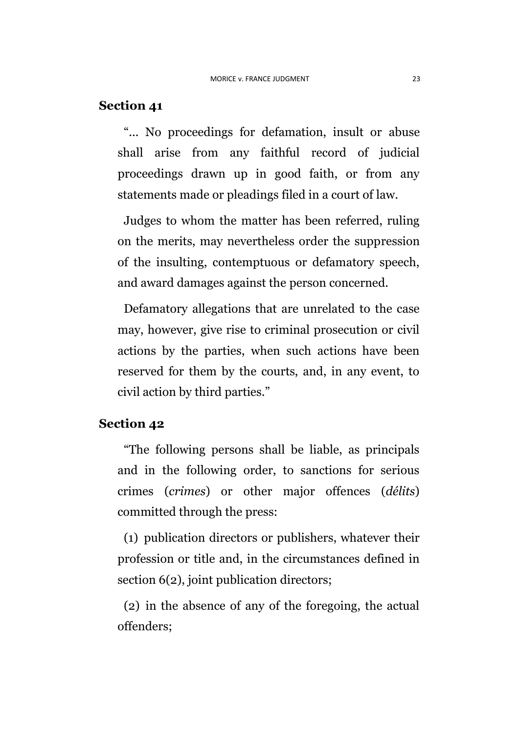### **Section 41**

"... No proceedings for defamation, insult or abuse shall arise from any faithful record of judicial proceedings drawn up in good faith, or from any statements made or pleadings filed in a court of law.

Judges to whom the matter has been referred, ruling on the merits, may nevertheless order the suppression of the insulting, contemptuous or defamatory speech, and award damages against the person concerned.

Defamatory allegations that are unrelated to the case may, however, give rise to criminal prosecution or civil actions by the parties, when such actions have been reserved for them by the courts, and, in any event, to civil action by third parties."

#### **Section 42**

"The following persons shall be liable, as principals and in the following order, to sanctions for serious crimes (*crimes*) or other major offences (*délits*) committed through the press:

(1) publication directors or publishers, whatever their profession or title and, in the circumstances defined in section 6(2), joint publication directors;

(2) in the absence of any of the foregoing, the actual offenders;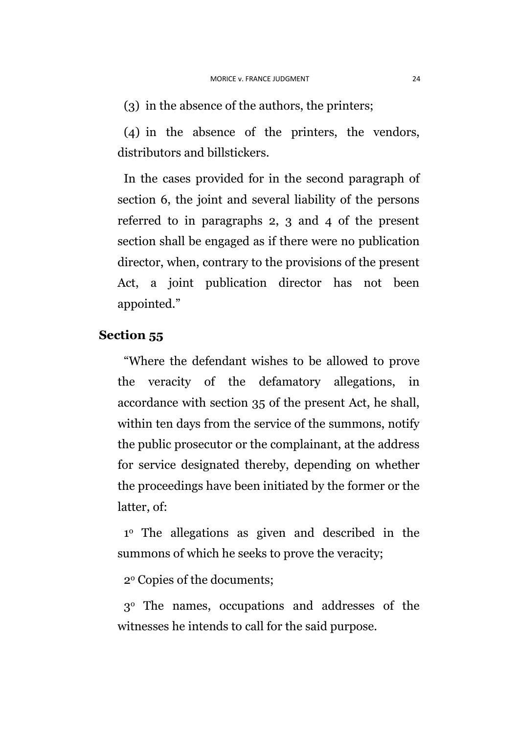(3) in the absence of the authors, the printers;

(4) in the absence of the printers, the vendors, distributors and billstickers.

In the cases provided for in the second paragraph of section 6, the joint and several liability of the persons referred to in paragraphs 2, 3 and 4 of the present section shall be engaged as if there were no publication director, when, contrary to the provisions of the present Act, a joint publication director has not been appointed."

## **Section 55**

"Where the defendant wishes to be allowed to prove the veracity of the defamatory allegations, in accordance with section 35 of the present Act, he shall, within ten days from the service of the summons, notify the public prosecutor or the complainant, at the address for service designated thereby, depending on whether the proceedings have been initiated by the former or the latter, of:

1 <sup>o</sup> The allegations as given and described in the summons of which he seeks to prove the veracity;

2<sup>o</sup> Copies of the documents;

3<sup>o</sup> The names, occupations and addresses of the witnesses he intends to call for the said purpose.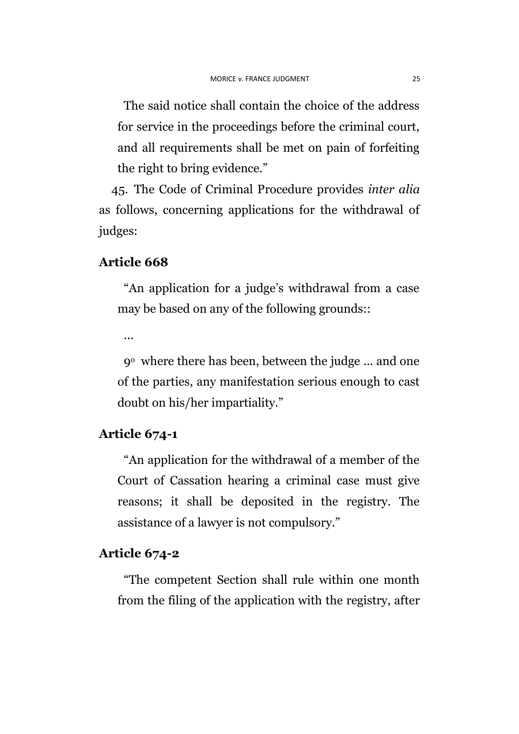The said notice shall contain the choice of the address for service in the proceedings before the criminal court, and all requirements shall be met on pain of forfeiting the right to bring evidence."

45. The Code of Criminal Procedure provides *inter alia* as follows, concerning applications for the withdrawal of judges:

### **Article 668**

"An application for a judge's withdrawal from a case may be based on any of the following grounds::

...

9<sup>o</sup> where there has been, between the judge ... and one of the parties, any manifestation serious enough to cast doubt on his/her impartiality."

## **Article 674-1**

"An application for the withdrawal of a member of the Court of Cassation hearing a criminal case must give reasons; it shall be deposited in the registry. The assistance of a lawyer is not compulsory."

## **Article 674-2**

"The competent Section shall rule within one month from the filing of the application with the registry, after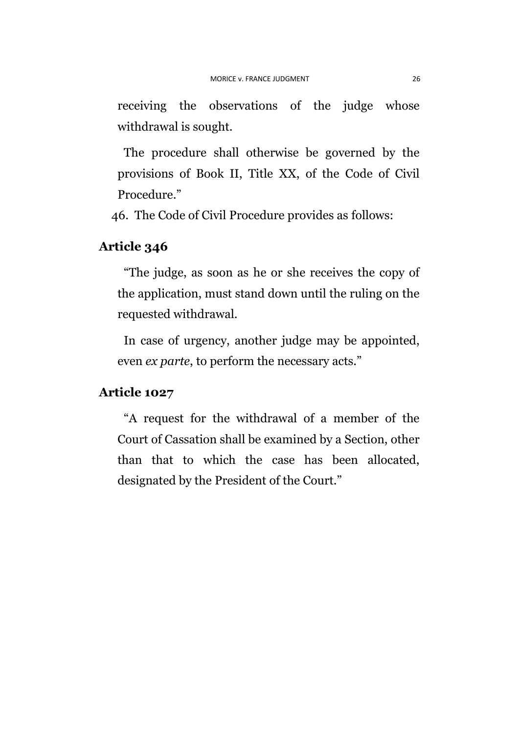receiving the observations of the judge whose withdrawal is sought.

The procedure shall otherwise be governed by the provisions of Book II, Title XX, of the Code of Civil Procedure."

46. The Code of Civil Procedure provides as follows:

## **Article 346**

"The judge, as soon as he or she receives the copy of the application, must stand down until the ruling on the requested withdrawal.

In case of urgency, another judge may be appointed, even *ex parte*, to perform the necessary acts."

#### **Article 1027**

"A request for the withdrawal of a member of the Court of Cassation shall be examined by a Section, other than that to which the case has been allocated, designated by the President of the Court."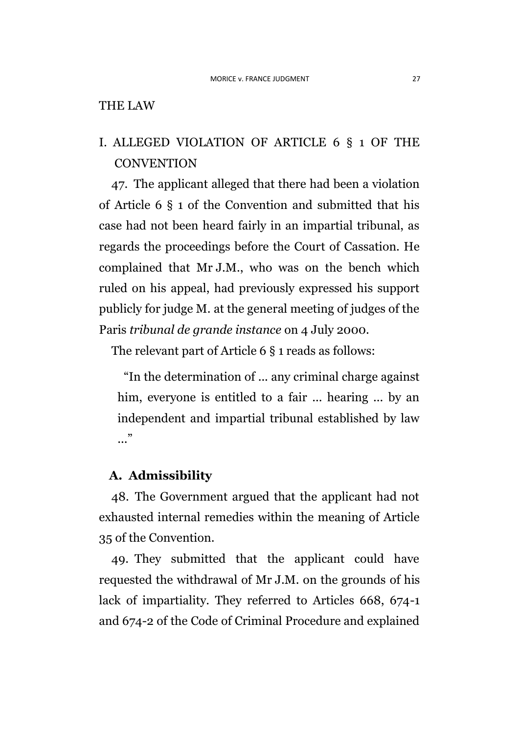### THE LAW

## I. ALLEGED VIOLATION OF ARTICLE 6 § 1 OF THE **CONVENTION**

47. The applicant alleged that there had been a violation of Article 6 § 1 of the Convention and submitted that his case had not been heard fairly in an impartial tribunal, as regards the proceedings before the Court of Cassation. He complained that Mr J.M., who was on the bench which ruled on his appeal, had previously expressed his support publicly for judge M. at the general meeting of judges of the Paris *tribunal de grande instance* on 4 July 2000.

The relevant part of Article 6 § 1 reads as follows:

"In the determination of ... any criminal charge against him, everyone is entitled to a fair ... hearing ... by an independent and impartial tribunal established by law  $\cdot$ ...

## **A. Admissibility**

48. The Government argued that the applicant had not exhausted internal remedies within the meaning of Article 35 of the Convention.

49. They submitted that the applicant could have requested the withdrawal of Mr J.M. on the grounds of his lack of impartiality. They referred to Articles 668, 674-1 and 674-2 of the Code of Criminal Procedure and explained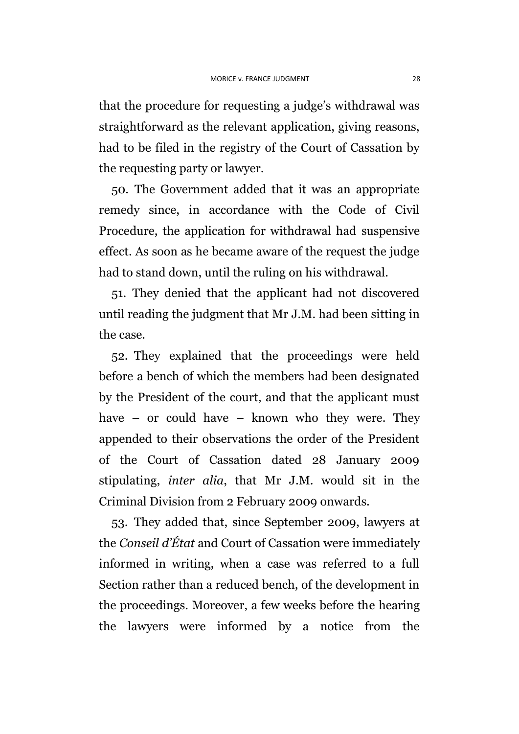that the procedure for requesting a judge's withdrawal was straightforward as the relevant application, giving reasons, had to be filed in the registry of the Court of Cassation by the requesting party or lawyer.

50. The Government added that it was an appropriate remedy since, in accordance with the Code of Civil Procedure, the application for withdrawal had suspensive effect. As soon as he became aware of the request the judge had to stand down, until the ruling on his withdrawal.

51. They denied that the applicant had not discovered until reading the judgment that Mr J.M. had been sitting in the case.

52. They explained that the proceedings were held before a bench of which the members had been designated by the President of the court, and that the applicant must have – or could have – known who they were. They appended to their observations the order of the President of the Court of Cassation dated 28 January 2009 stipulating, *inter alia*, that Mr J.M. would sit in the Criminal Division from 2 February 2009 onwards.

53. They added that, since September 2009, lawyers at the *Conseil d'État* and Court of Cassation were immediately informed in writing, when a case was referred to a full Section rather than a reduced bench, of the development in the proceedings. Moreover, a few weeks before the hearing the lawyers were informed by a notice from the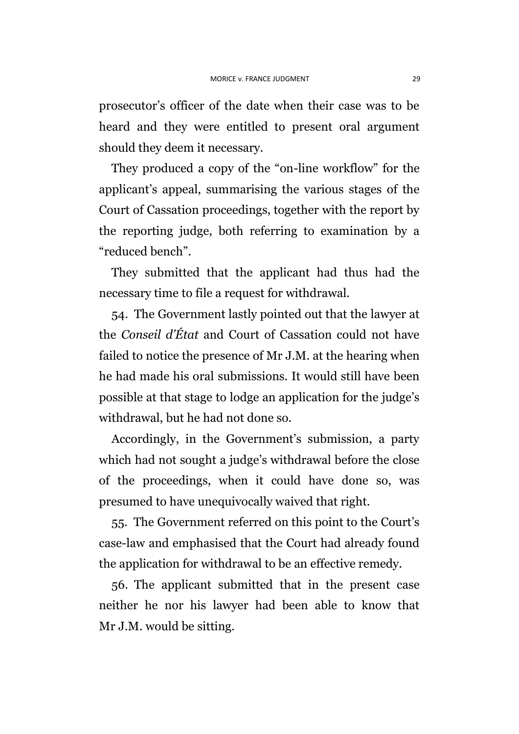prosecutor's officer of the date when their case was to be heard and they were entitled to present oral argument should they deem it necessary.

They produced a copy of the "on-line workflow" for the applicant's appeal, summarising the various stages of the Court of Cassation proceedings, together with the report by the reporting judge, both referring to examination by a "reduced bench".

They submitted that the applicant had thus had the necessary time to file a request for withdrawal.

54. The Government lastly pointed out that the lawyer at the *Conseil d'État* and Court of Cassation could not have failed to notice the presence of Mr J.M. at the hearing when he had made his oral submissions. It would still have been possible at that stage to lodge an application for the judge's withdrawal, but he had not done so.

Accordingly, in the Government's submission, a party which had not sought a judge's withdrawal before the close of the proceedings, when it could have done so, was presumed to have unequivocally waived that right.

55. The Government referred on this point to the Court's case-law and emphasised that the Court had already found the application for withdrawal to be an effective remedy.

56. The applicant submitted that in the present case neither he nor his lawyer had been able to know that Mr J.M. would be sitting.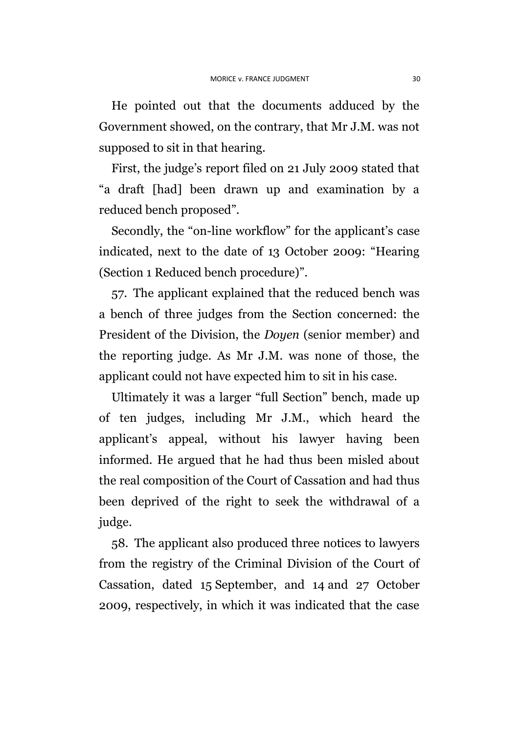He pointed out that the documents adduced by the Government showed, on the contrary, that Mr J.M. was not supposed to sit in that hearing.

First, the judge's report filed on 21 July 2009 stated that "a draft [had] been drawn up and examination by a reduced bench proposed".

Secondly, the "on-line workflow" for the applicant's case indicated, next to the date of 13 October 2009: "Hearing (Section 1 Reduced bench procedure)".

57. The applicant explained that the reduced bench was a bench of three judges from the Section concerned: the President of the Division, the *Doyen* (senior member) and the reporting judge. As Mr J.M. was none of those, the applicant could not have expected him to sit in his case.

Ultimately it was a larger "full Section" bench, made up of ten judges, including Mr J.M., which heard the applicant's appeal, without his lawyer having been informed. He argued that he had thus been misled about the real composition of the Court of Cassation and had thus been deprived of the right to seek the withdrawal of a judge.

58. The applicant also produced three notices to lawyers from the registry of the Criminal Division of the Court of Cassation, dated 15 September, and 14 and 27 October 2009, respectively, in which it was indicated that the case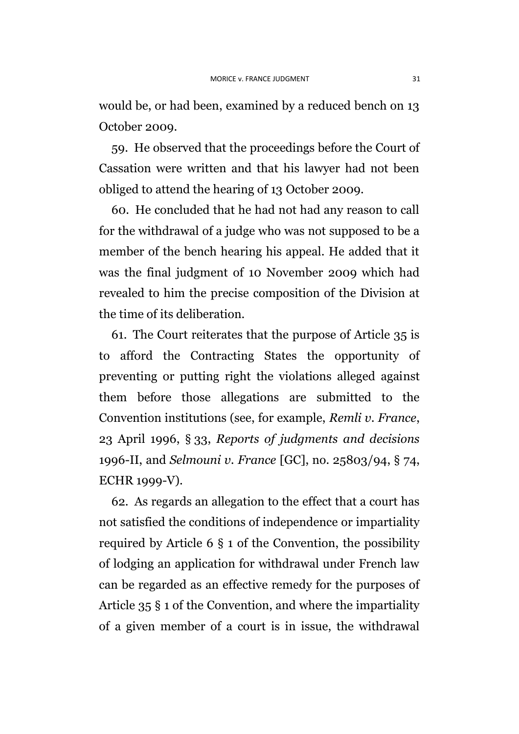would be, or had been, examined by a reduced bench on 13 October 2009.

59. He observed that the proceedings before the Court of Cassation were written and that his lawyer had not been obliged to attend the hearing of 13 October 2009.

60. He concluded that he had not had any reason to call for the withdrawal of a judge who was not supposed to be a member of the bench hearing his appeal. He added that it was the final judgment of 10 November 2009 which had revealed to him the precise composition of the Division at the time of its deliberation.

61. The Court reiterates that the purpose of Article 35 is to afford the Contracting States the opportunity of preventing or putting right the violations alleged against them before those allegations are submitted to the Convention institutions (see, for example, *Remli v. France*, 23 April 1996, § 33, *Reports of judgments and decisions* 1996-II, and *Selmouni v. France* [GC], no. 25803/94, § 74, ECHR 1999-V).

62. As regards an allegation to the effect that a court has not satisfied the conditions of independence or impartiality required by Article 6 § 1 of the Convention, the possibility of lodging an application for withdrawal under French law can be regarded as an effective remedy for the purposes of Article 35 § 1 of the Convention, and where the impartiality of a given member of a court is in issue, the withdrawal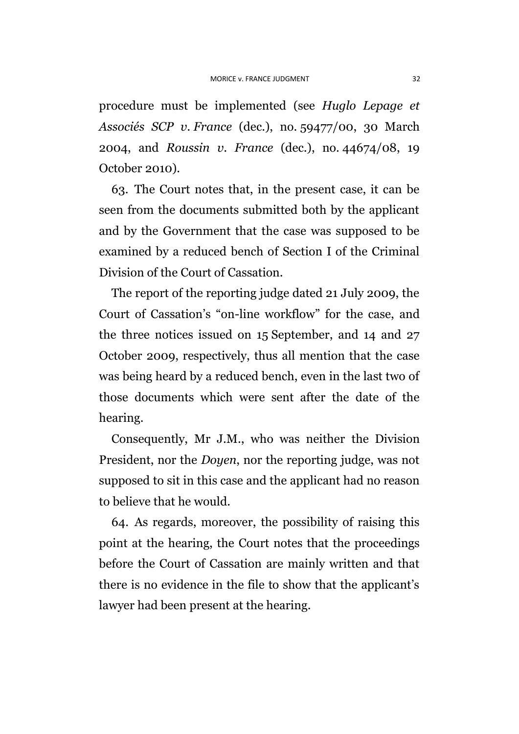procedure must be implemented (see *Huglo Lepage et Associés SCP v. France* (dec.), no. 59477/00, 30 March 2004, and *Roussin v. France* (dec.), no. 44674/08, 19 October 2010).

63. The Court notes that, in the present case, it can be seen from the documents submitted both by the applicant and by the Government that the case was supposed to be examined by a reduced bench of Section I of the Criminal Division of the Court of Cassation.

The report of the reporting judge dated 21 July 2009, the Court of Cassation's "on-line workflow" for the case, and the three notices issued on 15 September, and 14 and 27 October 2009, respectively, thus all mention that the case was being heard by a reduced bench, even in the last two of those documents which were sent after the date of the hearing.

Consequently, Mr J.M., who was neither the Division President, nor the *Doyen*, nor the reporting judge, was not supposed to sit in this case and the applicant had no reason to believe that he would.

64. As regards, moreover, the possibility of raising this point at the hearing, the Court notes that the proceedings before the Court of Cassation are mainly written and that there is no evidence in the file to show that the applicant's lawyer had been present at the hearing.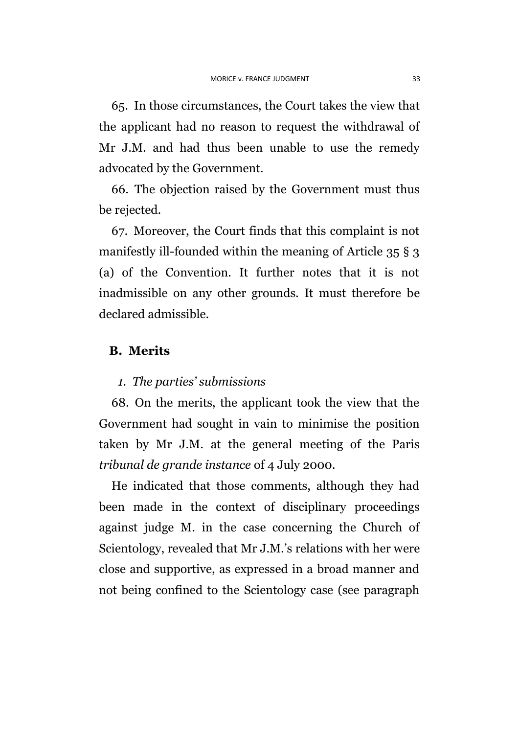65. In those circumstances, the Court takes the view that the applicant had no reason to request the withdrawal of Mr J.M. and had thus been unable to use the remedy advocated by the Government.

66. The objection raised by the Government must thus be rejected.

67. Moreover, the Court finds that this complaint is not manifestly ill-founded within the meaning of Article 35 § 3 (a) of the Convention. It further notes that it is not inadmissible on any other grounds. It must therefore be declared admissible.

#### **B. Merits**

#### *1. The parties' submissions*

68. On the merits, the applicant took the view that the Government had sought in vain to minimise the position taken by Mr J.M. at the general meeting of the Paris *tribunal de grande instance* of 4 July 2000.

He indicated that those comments, although they had been made in the context of disciplinary proceedings against judge M. in the case concerning the Church of Scientology, revealed that Mr J.M.'s relations with her were close and supportive, as expressed in a broad manner and not being confined to the Scientology case (see paragraph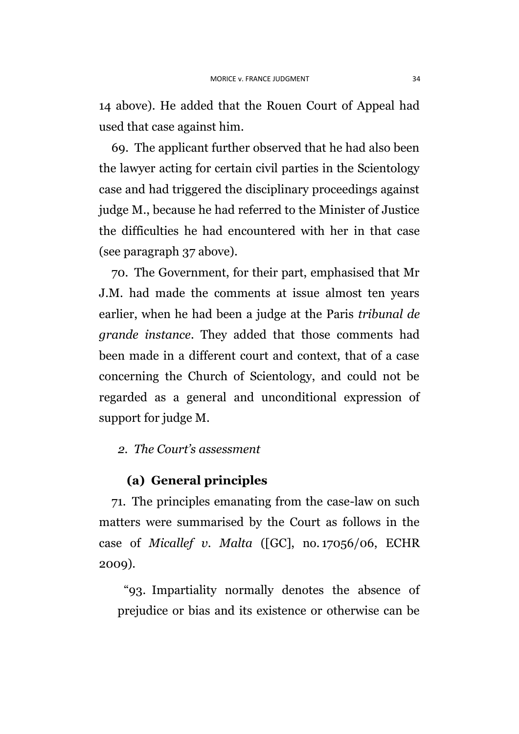14 above). He added that the Rouen Court of Appeal had used that case against him.

69. The applicant further observed that he had also been the lawyer acting for certain civil parties in the Scientology case and had triggered the disciplinary proceedings against judge M., because he had referred to the Minister of Justice the difficulties he had encountered with her in that case (see paragraph [37](#page-19-0) above).

70. The Government, for their part, emphasised that Mr J.M. had made the comments at issue almost ten years earlier, when he had been a judge at the Paris *tribunal de grande instance*. They added that those comments had been made in a different court and context, that of a case concerning the Church of Scientology, and could not be regarded as a general and unconditional expression of support for judge M.

## *2. The Court's assessment*

## **(a) General principles**

71. The principles emanating from the case-law on such matters were summarised by the Court as follows in the case of *Micallef v. Malta* ([GC], no. 17056/06, ECHR 2009).

"93. Impartiality normally denotes the absence of prejudice or bias and its existence or otherwise can be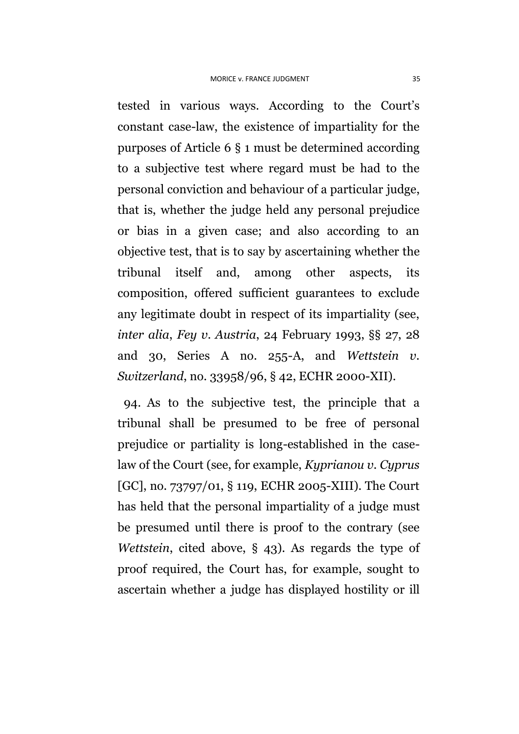tested in various ways. According to the Court's constant case-law, the existence of impartiality for the purposes of Article 6 § 1 must be determined according to a subjective test where regard must be had to the personal conviction and behaviour of a particular judge, that is, whether the judge held any personal prejudice or bias in a given case; and also according to an objective test, that is to say by ascertaining whether the tribunal itself and, among other aspects, its composition, offered sufficient guarantees to exclude any legitimate doubt in respect of its impartiality (see, *inter alia*, *Fey v. Austria*, 24 February 1993, §§ 27, 28 and 30, Series A no. 255-A, and *Wettstein v. Switzerland*, no. 33958/96, § 42, ECHR 2000-XII).

94. As to the subjective test, the principle that a tribunal shall be presumed to be free of personal prejudice or partiality is long-established in the caselaw of the Court (see, for example, *Kyprianou v. Cyprus*  [GC], no. 73797/01, § 119, ECHR 2005-XIII). The Court has held that the personal impartiality of a judge must be presumed until there is proof to the contrary (see *Wettstein*, cited above, § 43). As regards the type of proof required, the Court has, for example, sought to ascertain whether a judge has displayed hostility or ill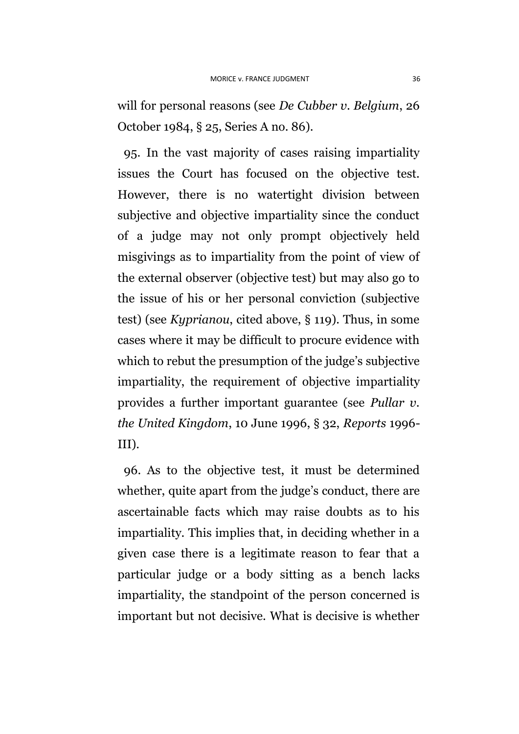will for personal reasons (see *De Cubber v. Belgium*, 26 October 1984, § 25, Series A no. 86).

95. In the vast majority of cases raising impartiality issues the Court has focused on the objective test. However, there is no watertight division between subjective and objective impartiality since the conduct of a judge may not only prompt objectively held misgivings as to impartiality from the point of view of the external observer (objective test) but may also go to the issue of his or her personal conviction (subjective test) (see *Kyprianou*, cited above, § 119). Thus, in some cases where it may be difficult to procure evidence with which to rebut the presumption of the judge's subjective impartiality, the requirement of objective impartiality provides a further important guarantee (see *Pullar v. the United Kingdom*, 10 June 1996, § 32, *Reports* 1996- III).

96. As to the objective test, it must be determined whether, quite apart from the judge's conduct, there are ascertainable facts which may raise doubts as to his impartiality. This implies that, in deciding whether in a given case there is a legitimate reason to fear that a particular judge or a body sitting as a bench lacks impartiality, the standpoint of the person concerned is important but not decisive. What is decisive is whether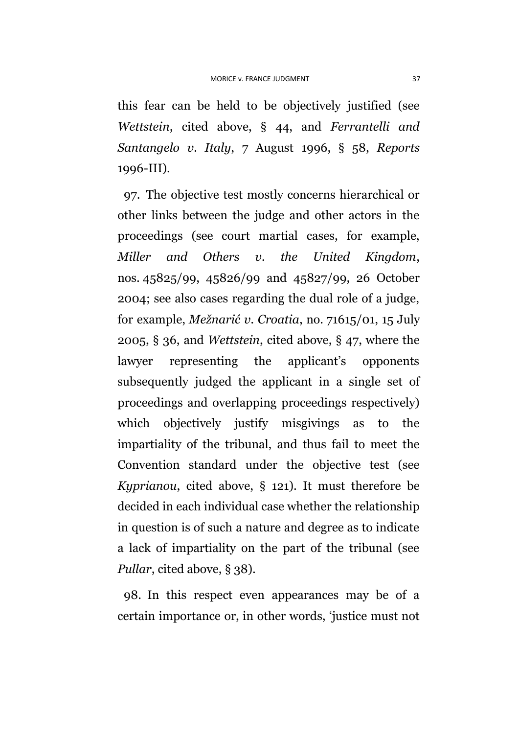this fear can be held to be objectively justified (see *Wettstein*, cited above, § 44, and *Ferrantelli and Santangelo v. Italy*, 7 August 1996, § 58, *Reports*  1996-III).

97. The objective test mostly concerns hierarchical or other links between the judge and other actors in the proceedings (see court martial cases, for example, *Miller and Others v. the United Kingdom*, nos. 45825/99, 45826/99 and 45827/99, 26 October 2004; see also cases regarding the dual role of a judge, for example, *Mežnarić v. Croatia*, no. 71615/01, 15 July 2005, § 36, and *Wettstein*, cited above, § 47, where the lawyer representing the applicant's opponents subsequently judged the applicant in a single set of proceedings and overlapping proceedings respectively) which objectively justify misgivings as to the impartiality of the tribunal, and thus fail to meet the Convention standard under the objective test (see *Kyprianou*, cited above, § 121). It must therefore be decided in each individual case whether the relationship in question is of such a nature and degree as to indicate a lack of impartiality on the part of the tribunal (see *Pullar*, cited above, § 38).

98. In this respect even appearances may be of a certain importance or, in other words, 'justice must not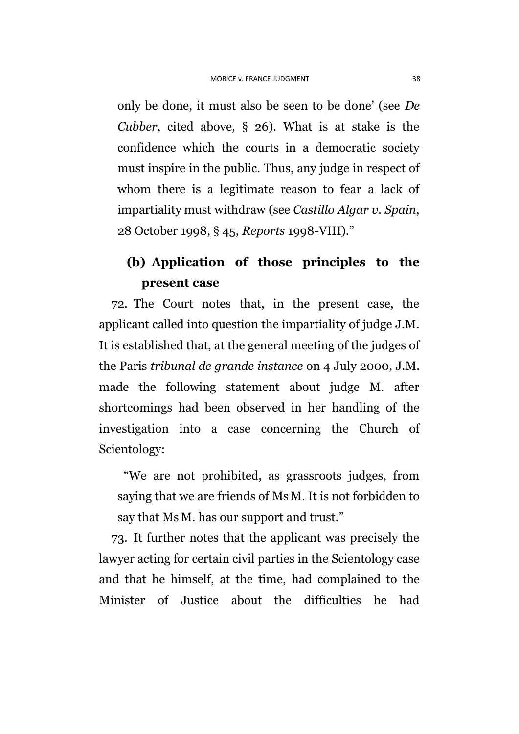only be done, it must also be seen to be done' (see *De Cubber*, cited above, § 26). What is at stake is the confidence which the courts in a democratic society must inspire in the public. Thus, any judge in respect of whom there is a legitimate reason to fear a lack of impartiality must withdraw (see *Castillo Algar v. Spain*, 28 October 1998, § 45, *Reports* 1998-VIII)."

## **(b) Application of those principles to the present case**

72. The Court notes that, in the present case, the applicant called into question the impartiality of judge J.M. It is established that, at the general meeting of the judges of the Paris *tribunal de grande instance* on 4 July 2000, J.M. made the following statement about judge M. after shortcomings had been observed in her handling of the investigation into a case concerning the Church of Scientology:

"We are not prohibited, as grassroots judges, from saying that we are friends of Ms M. It is not forbidden to say that Ms M. has our support and trust."

73. It further notes that the applicant was precisely the lawyer acting for certain civil parties in the Scientology case and that he himself, at the time, had complained to the Minister of Justice about the difficulties he had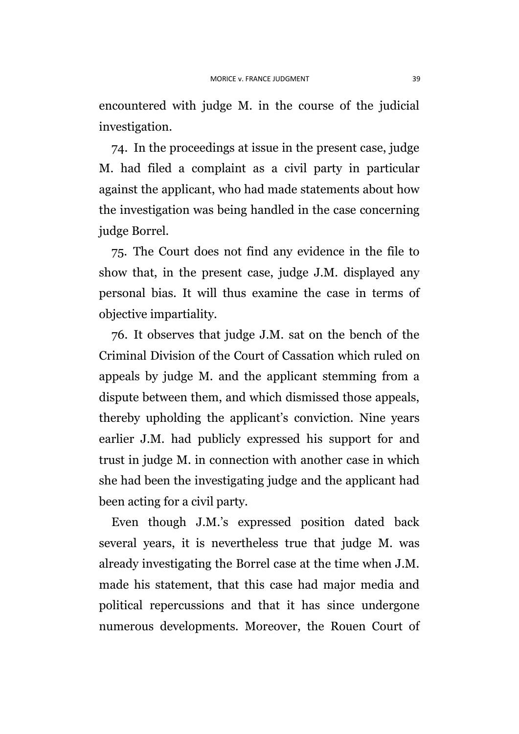encountered with judge M. in the course of the judicial investigation.

74. In the proceedings at issue in the present case, judge M. had filed a complaint as a civil party in particular against the applicant, who had made statements about how the investigation was being handled in the case concerning judge Borrel.

75. The Court does not find any evidence in the file to show that, in the present case, judge J.M. displayed any personal bias. It will thus examine the case in terms of objective impartiality.

76. It observes that judge J.M. sat on the bench of the Criminal Division of the Court of Cassation which ruled on appeals by judge M. and the applicant stemming from a dispute between them, and which dismissed those appeals, thereby upholding the applicant's conviction. Nine years earlier J.M. had publicly expressed his support for and trust in judge M. in connection with another case in which she had been the investigating judge and the applicant had been acting for a civil party.

Even though J.M.'s expressed position dated back several years, it is nevertheless true that judge M. was already investigating the Borrel case at the time when J.M. made his statement, that this case had major media and political repercussions and that it has since undergone numerous developments. Moreover, the Rouen Court of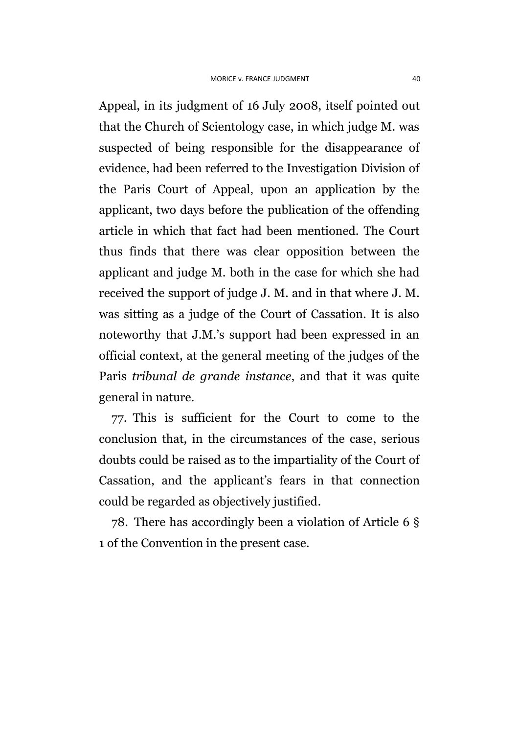Appeal, in its judgment of 16 July 2008, itself pointed out that the Church of Scientology case, in which judge M. was suspected of being responsible for the disappearance of evidence, had been referred to the Investigation Division of the Paris Court of Appeal, upon an application by the applicant, two days before the publication of the offending article in which that fact had been mentioned. The Court thus finds that there was clear opposition between the applicant and judge M. both in the case for which she had received the support of judge J. M. and in that where J. M. was sitting as a judge of the Court of Cassation. It is also noteworthy that J.M.'s support had been expressed in an official context, at the general meeting of the judges of the Paris *tribunal de grande instance*, and that it was quite general in nature.

77. This is sufficient for the Court to come to the conclusion that, in the circumstances of the case, serious doubts could be raised as to the impartiality of the Court of Cassation, and the applicant's fears in that connection could be regarded as objectively justified.

78. There has accordingly been a violation of Article 6 § 1 of the Convention in the present case.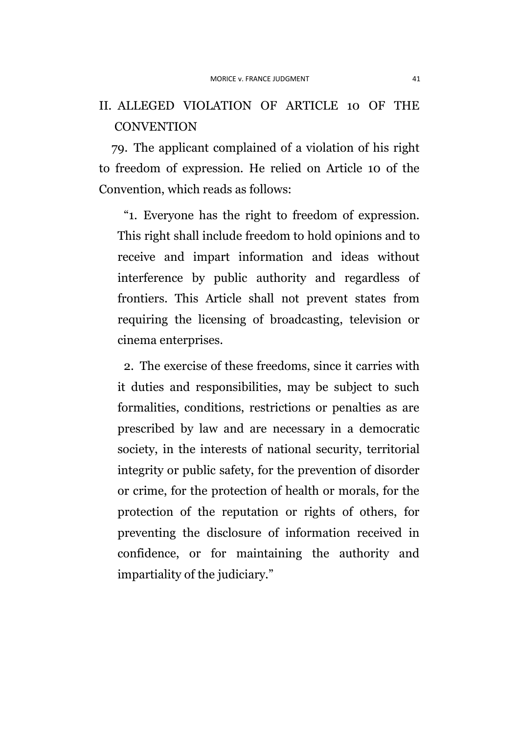## II. ALLEGED VIOLATION OF ARTICLE 10 OF THE **CONVENTION**

79. The applicant complained of a violation of his right to freedom of expression. He relied on Article 10 of the Convention, which reads as follows:

"1. Everyone has the right to freedom of expression. This right shall include freedom to hold opinions and to receive and impart information and ideas without interference by public authority and regardless of frontiers. This Article shall not prevent states from requiring the licensing of broadcasting, television or cinema enterprises.

2. The exercise of these freedoms, since it carries with it duties and responsibilities, may be subject to such formalities, conditions, restrictions or penalties as are prescribed by law and are necessary in a democratic society, in the interests of national security, territorial integrity or public safety, for the prevention of disorder or crime, for the protection of health or morals, for the protection of the reputation or rights of others, for preventing the disclosure of information received in confidence, or for maintaining the authority and impartiality of the judiciary."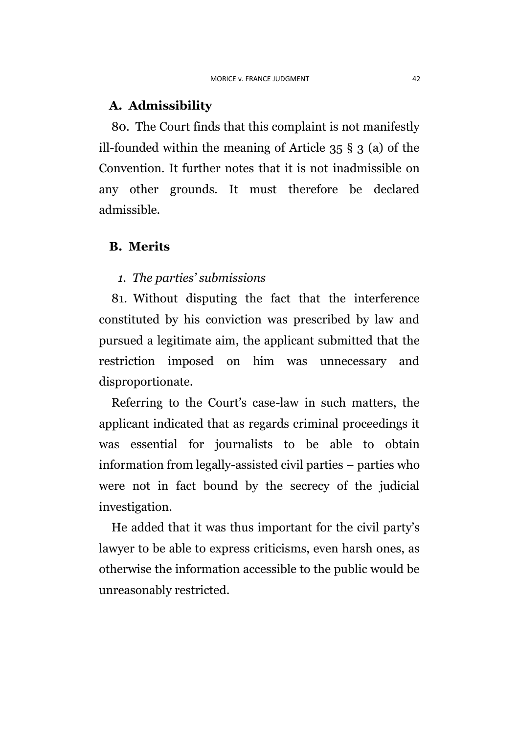## **A. Admissibility**

80. The Court finds that this complaint is not manifestly ill-founded within the meaning of Article 35 § 3 (a) of the Convention. It further notes that it is not inadmissible on any other grounds. It must therefore be declared admissible.

## **B. Merits**

#### *1. The parties' submissions*

81. Without disputing the fact that the interference constituted by his conviction was prescribed by law and pursued a legitimate aim, the applicant submitted that the restriction imposed on him was unnecessary and disproportionate.

Referring to the Court's case-law in such matters, the applicant indicated that as regards criminal proceedings it was essential for journalists to be able to obtain information from legally-assisted civil parties – parties who were not in fact bound by the secrecy of the judicial investigation.

He added that it was thus important for the civil party's lawyer to be able to express criticisms, even harsh ones, as otherwise the information accessible to the public would be unreasonably restricted.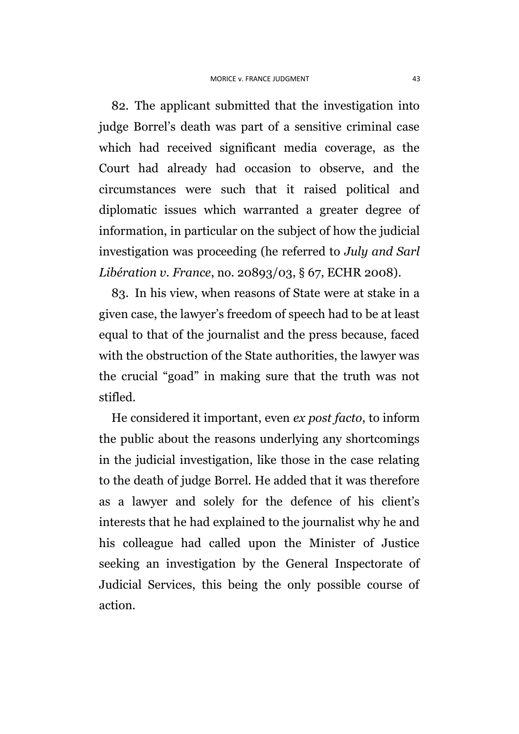82. The applicant submitted that the investigation into judge Borrel's death was part of a sensitive criminal case which had received significant media coverage, as the Court had already had occasion to observe, and the circumstances were such that it raised political and diplomatic issues which warranted a greater degree of information, in particular on the subject of how the judicial investigation was proceeding (he referred to *July and Sarl Libération v. France*, no. 20893/03, § 67, ECHR 2008).

83. In his view, when reasons of State were at stake in a given case, the lawyer's freedom of speech had to be at least equal to that of the journalist and the press because, faced with the obstruction of the State authorities, the lawyer was the crucial "goad" in making sure that the truth was not stifled.

He considered it important, even *ex post facto*, to inform the public about the reasons underlying any shortcomings in the judicial investigation, like those in the case relating to the death of judge Borrel. He added that it was therefore as a lawyer and solely for the defence of his client's interests that he had explained to the journalist why he and his colleague had called upon the Minister of Justice seeking an investigation by the General Inspectorate of Judicial Services, this being the only possible course of action.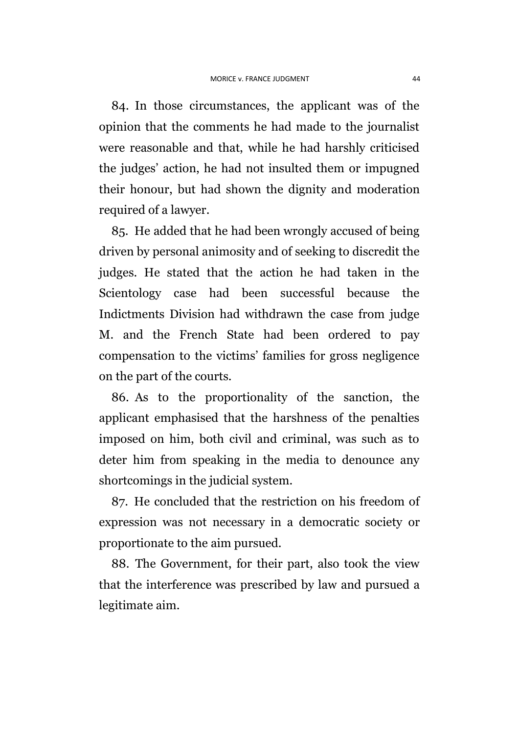84. In those circumstances, the applicant was of the opinion that the comments he had made to the journalist were reasonable and that, while he had harshly criticised the judges' action, he had not insulted them or impugned their honour, but had shown the dignity and moderation required of a lawyer.

85. He added that he had been wrongly accused of being driven by personal animosity and of seeking to discredit the judges. He stated that the action he had taken in the Scientology case had been successful because the Indictments Division had withdrawn the case from judge M. and the French State had been ordered to pay compensation to the victims' families for gross negligence on the part of the courts.

86. As to the proportionality of the sanction, the applicant emphasised that the harshness of the penalties imposed on him, both civil and criminal, was such as to deter him from speaking in the media to denounce any shortcomings in the judicial system.

87. He concluded that the restriction on his freedom of expression was not necessary in a democratic society or proportionate to the aim pursued.

88. The Government, for their part, also took the view that the interference was prescribed by law and pursued a legitimate aim.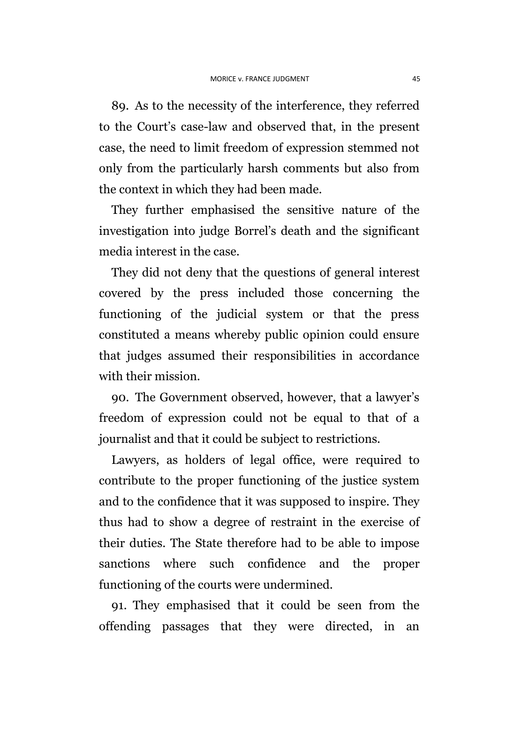89. As to the necessity of the interference, they referred to the Court's case-law and observed that, in the present case, the need to limit freedom of expression stemmed not only from the particularly harsh comments but also from the context in which they had been made.

They further emphasised the sensitive nature of the investigation into judge Borrel's death and the significant media interest in the case.

They did not deny that the questions of general interest covered by the press included those concerning the functioning of the judicial system or that the press constituted a means whereby public opinion could ensure that judges assumed their responsibilities in accordance with their mission.

90. The Government observed, however, that a lawyer's freedom of expression could not be equal to that of a journalist and that it could be subject to restrictions.

Lawyers, as holders of legal office, were required to contribute to the proper functioning of the justice system and to the confidence that it was supposed to inspire. They thus had to show a degree of restraint in the exercise of their duties. The State therefore had to be able to impose sanctions where such confidence and the proper functioning of the courts were undermined.

91. They emphasised that it could be seen from the offending passages that they were directed, in an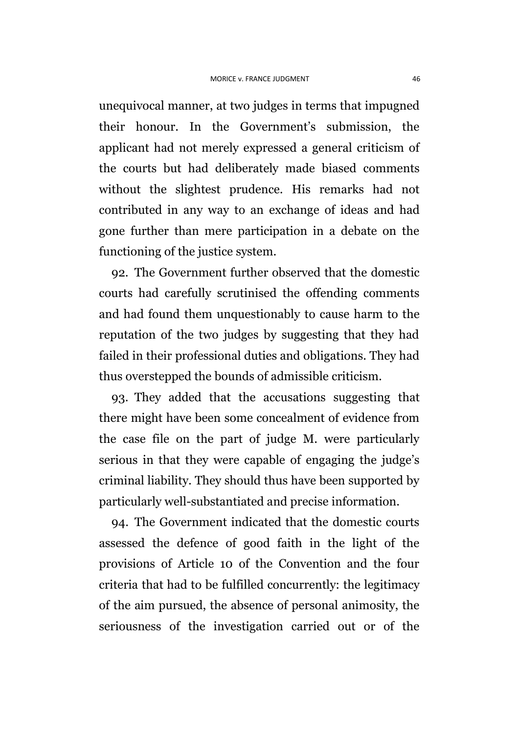unequivocal manner, at two judges in terms that impugned their honour. In the Government's submission, the applicant had not merely expressed a general criticism of the courts but had deliberately made biased comments without the slightest prudence. His remarks had not contributed in any way to an exchange of ideas and had gone further than mere participation in a debate on the functioning of the justice system.

92. The Government further observed that the domestic courts had carefully scrutinised the offending comments and had found them unquestionably to cause harm to the reputation of the two judges by suggesting that they had failed in their professional duties and obligations. They had thus overstepped the bounds of admissible criticism.

93. They added that the accusations suggesting that there might have been some concealment of evidence from the case file on the part of judge M. were particularly serious in that they were capable of engaging the judge's criminal liability. They should thus have been supported by particularly well-substantiated and precise information.

94. The Government indicated that the domestic courts assessed the defence of good faith in the light of the provisions of Article 10 of the Convention and the four criteria that had to be fulfilled concurrently: the legitimacy of the aim pursued, the absence of personal animosity, the seriousness of the investigation carried out or of the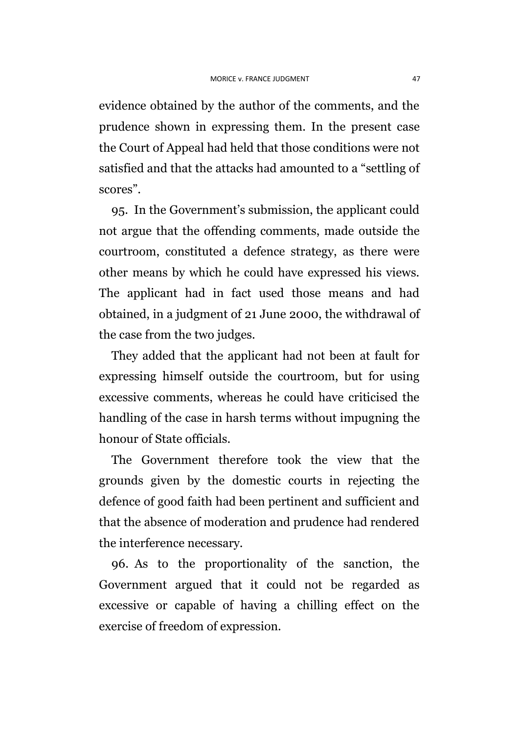evidence obtained by the author of the comments, and the prudence shown in expressing them. In the present case the Court of Appeal had held that those conditions were not satisfied and that the attacks had amounted to a "settling of scores".

95. In the Government's submission, the applicant could not argue that the offending comments, made outside the courtroom, constituted a defence strategy, as there were other means by which he could have expressed his views. The applicant had in fact used those means and had obtained, in a judgment of 21 June 2000, the withdrawal of the case from the two judges.

They added that the applicant had not been at fault for expressing himself outside the courtroom, but for using excessive comments, whereas he could have criticised the handling of the case in harsh terms without impugning the honour of State officials.

The Government therefore took the view that the grounds given by the domestic courts in rejecting the defence of good faith had been pertinent and sufficient and that the absence of moderation and prudence had rendered the interference necessary.

96. As to the proportionality of the sanction, the Government argued that it could not be regarded as excessive or capable of having a chilling effect on the exercise of freedom of expression.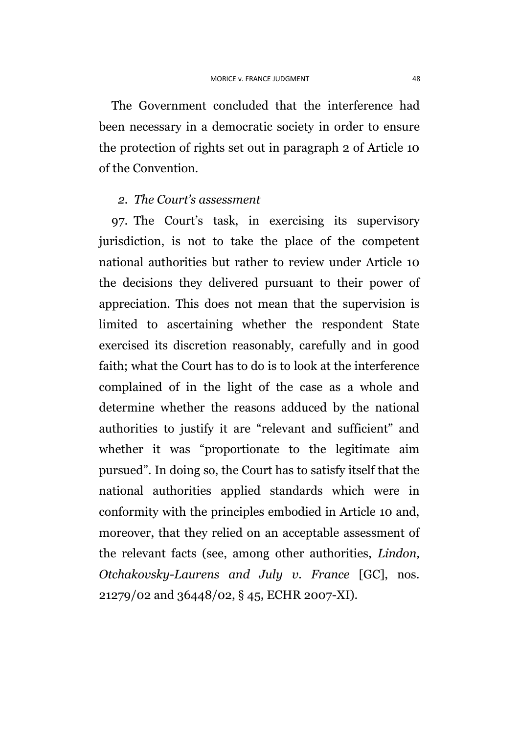The Government concluded that the interference had been necessary in a democratic society in order to ensure the protection of rights set out in paragraph 2 of Article 10 of the Convention.

## *2. The Court's assessment*

97. The Court's task, in exercising its supervisory jurisdiction, is not to take the place of the competent national authorities but rather to review under Article 10 the decisions they delivered pursuant to their power of appreciation. This does not mean that the supervision is limited to ascertaining whether the respondent State exercised its discretion reasonably, carefully and in good faith; what the Court has to do is to look at the interference complained of in the light of the case as a whole and determine whether the reasons adduced by the national authorities to justify it are "relevant and sufficient" and whether it was "proportionate to the legitimate aim pursued". In doing so, the Court has to satisfy itself that the national authorities applied standards which were in conformity with the principles embodied in Article 10 and, moreover, that they relied on an acceptable assessment of the relevant facts (see, among other authorities, *Lindon, Otchakovsky-Laurens and July v. France* [GC], nos. 21279/02 and 36448/02, § 45, ECHR 2007-XI).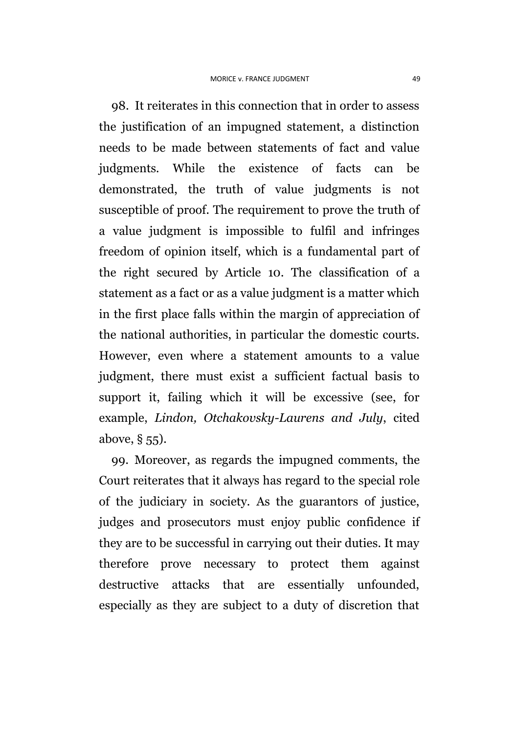98. It reiterates in this connection that in order to assess the justification of an impugned statement, a distinction needs to be made between statements of fact and value judgments. While the existence of facts can be demonstrated, the truth of value judgments is not susceptible of proof. The requirement to prove the truth of a value judgment is impossible to fulfil and infringes freedom of opinion itself, which is a fundamental part of the right secured by Article 10. The classification of a statement as a fact or as a value judgment is a matter which in the first place falls within the margin of appreciation of the national authorities, in particular the domestic courts. However, even where a statement amounts to a value judgment, there must exist a sufficient factual basis to support it, failing which it will be excessive (see, for example, *Lindon, Otchakovsky-Laurens and July*, cited above, § 55).

99. Moreover, as regards the impugned comments, the Court reiterates that it always has regard to the special role of the judiciary in society. As the guarantors of justice, judges and prosecutors must enjoy public confidence if they are to be successful in carrying out their duties. It may therefore prove necessary to protect them against destructive attacks that are essentially unfounded, especially as they are subject to a duty of discretion that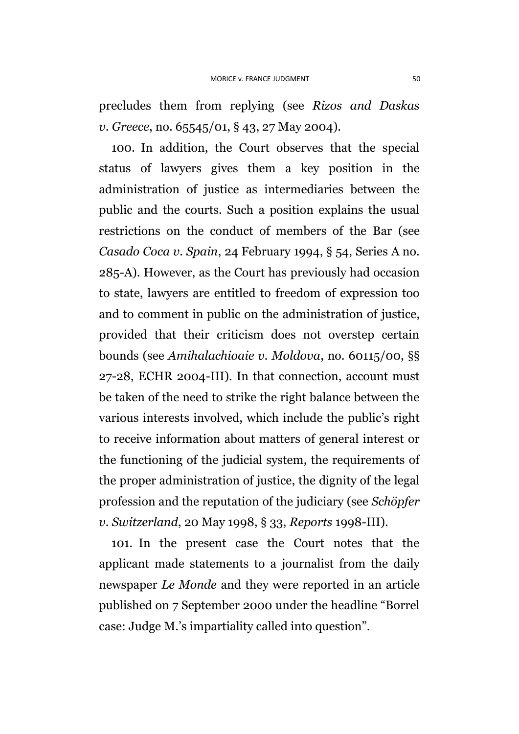precludes them from replying (see *Rizos and Daskas v. Greece*, no. 65545/01, § 43, 27 May 2004).

100. In addition, the Court observes that the special status of lawyers gives them a key position in the administration of justice as intermediaries between the public and the courts. Such a position explains the usual restrictions on the conduct of members of the Bar (see *Casado Coca v. Spain*, 24 February 1994, § 54, Series A no. 285-A). However, as the Court has previously had occasion to state, lawyers are entitled to freedom of expression too and to comment in public on the administration of justice, provided that their criticism does not overstep certain bounds (see *Amihalachioaie v. Moldova*, no. 60115/00, §§ 27-28, ECHR 2004-III). In that connection, account must be taken of the need to strike the right balance between the various interests involved, which include the public's right to receive information about matters of general interest or the functioning of the judicial system, the requirements of the proper administration of justice, the dignity of the legal profession and the reputation of the judiciary (see *Schöpfer v. Switzerland*, 20 May 1998, § 33, *Reports* 1998-III).

101. In the present case the Court notes that the applicant made statements to a journalist from the daily newspaper *Le Monde* and they were reported in an article published on 7 September 2000 under the headline "Borrel case: Judge M.'s impartiality called into question".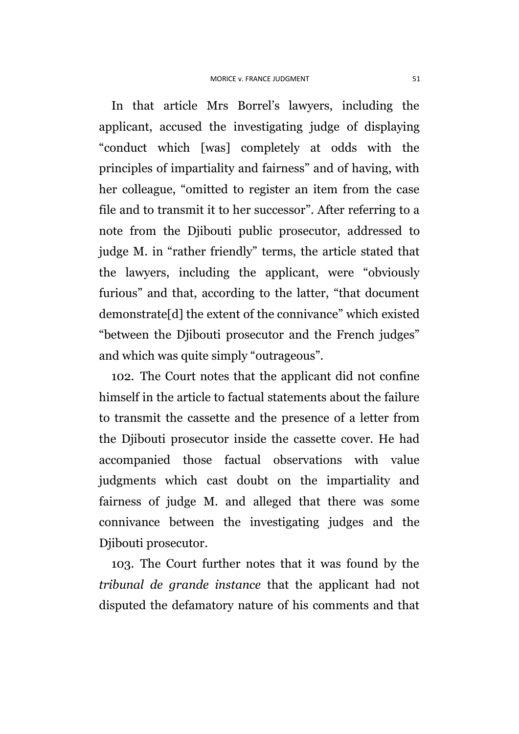In that article Mrs Borrel's lawyers, including the applicant, accused the investigating judge of displaying "conduct which [was] completely at odds with the principles of impartiality and fairness" and of having, with her colleague, "omitted to register an item from the case file and to transmit it to her successor". After referring to a note from the Djibouti public prosecutor, addressed to judge M. in "rather friendly" terms, the article stated that the lawyers, including the applicant, were "obviously furious" and that, according to the latter, "that document demonstrate[d] the extent of the connivance" which existed "between the Djibouti prosecutor and the French judges" and which was quite simply "outrageous".

102. The Court notes that the applicant did not confine himself in the article to factual statements about the failure to transmit the cassette and the presence of a letter from the Djibouti prosecutor inside the cassette cover. He had accompanied those factual observations with value judgments which cast doubt on the impartiality and fairness of judge M. and alleged that there was some connivance between the investigating judges and the Djibouti prosecutor.

103. The Court further notes that it was found by the *tribunal de grande instance* that the applicant had not disputed the defamatory nature of his comments and that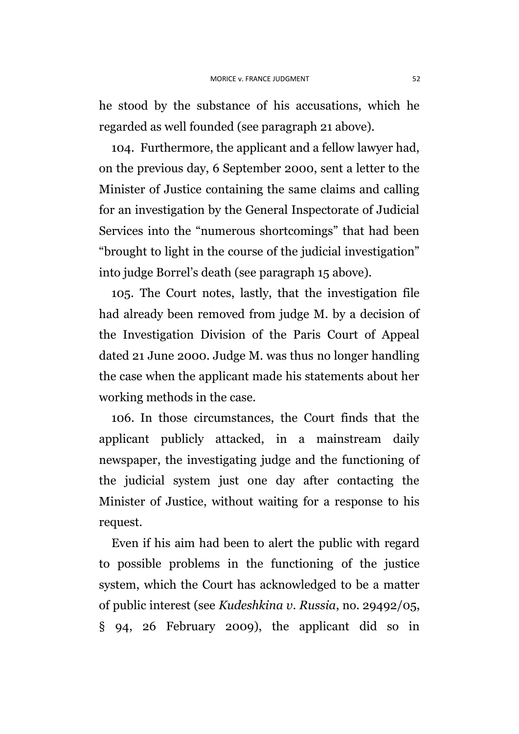he stood by the substance of his accusations, which he regarded as well founded (see paragraph 21 above).

104. Furthermore, the applicant and a fellow lawyer had, on the previous day, 6 September 2000, sent a letter to the Minister of Justice containing the same claims and calling for an investigation by the General Inspectorate of Judicial Services into the "numerous shortcomings" that had been "brought to light in the course of the judicial investigation" into judge Borrel's death (see paragraph 15 above).

105. The Court notes, lastly, that the investigation file had already been removed from judge M. by a decision of the Investigation Division of the Paris Court of Appeal dated 21 June 2000. Judge M. was thus no longer handling the case when the applicant made his statements about her working methods in the case.

106. In those circumstances, the Court finds that the applicant publicly attacked, in a mainstream daily newspaper, the investigating judge and the functioning of the judicial system just one day after contacting the Minister of Justice, without waiting for a response to his request.

Even if his aim had been to alert the public with regard to possible problems in the functioning of the justice system, which the Court has acknowledged to be a matter of public interest (see *Kudeshkina v. Russia*, no. 29492/05, § 94, 26 February 2009), the applicant did so in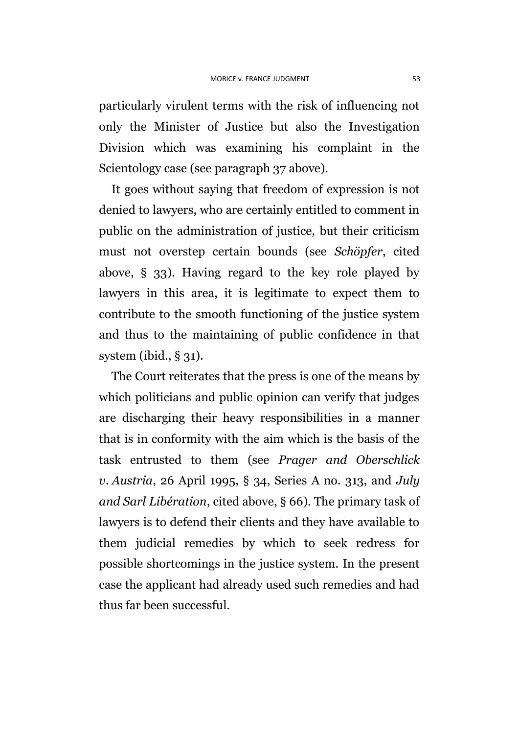particularly virulent terms with the risk of influencing not only the Minister of Justice but also the Investigation Division which was examining his complaint in the Scientology case (see paragraph 37 above).

It goes without saying that freedom of expression is not denied to lawyers, who are certainly entitled to comment in public on the administration of justice, but their criticism must not overstep certain bounds (see *Schöpfer*, cited above, § 33). Having regard to the key role played by lawyers in this area, it is legitimate to expect them to contribute to the smooth functioning of the justice system and thus to the maintaining of public confidence in that system (ibid.,  $\S$  31).

The Court reiterates that the press is one of the means by which politicians and public opinion can verify that judges are discharging their heavy responsibilities in a manner that is in conformity with the aim which is the basis of the task entrusted to them (see *Prager and Oberschlick v. Austria*, 26 April 1995, § 34, Series A no. 313, and *July and Sarl Libération*, cited above, § 66). The primary task of lawyers is to defend their clients and they have available to them judicial remedies by which to seek redress for possible shortcomings in the justice system. In the present case the applicant had already used such remedies and had thus far been successful.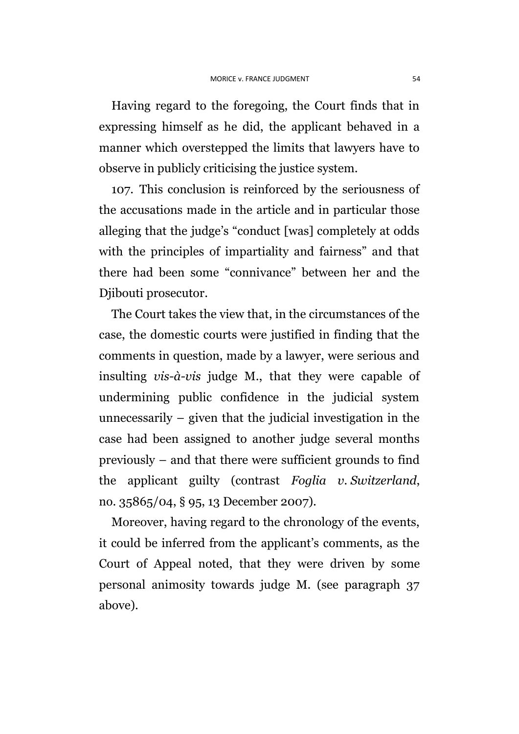Having regard to the foregoing, the Court finds that in expressing himself as he did, the applicant behaved in a manner which overstepped the limits that lawyers have to observe in publicly criticising the justice system.

107. This conclusion is reinforced by the seriousness of the accusations made in the article and in particular those alleging that the judge's "conduct [was] completely at odds with the principles of impartiality and fairness" and that there had been some "connivance" between her and the Djibouti prosecutor.

The Court takes the view that, in the circumstances of the case, the domestic courts were justified in finding that the comments in question, made by a lawyer, were serious and insulting *vis-à-vis* judge M., that they were capable of undermining public confidence in the judicial system unnecessarily – given that the judicial investigation in the case had been assigned to another judge several months previously – and that there were sufficient grounds to find the applicant guilty (contrast *Foglia v. Switzerland*, no. 35865/04, § 95, 13 December 2007).

Moreover, having regard to the chronology of the events, it could be inferred from the applicant's comments, as the Court of Appeal noted, that they were driven by some personal animosity towards judge M. (see paragraph 37 above).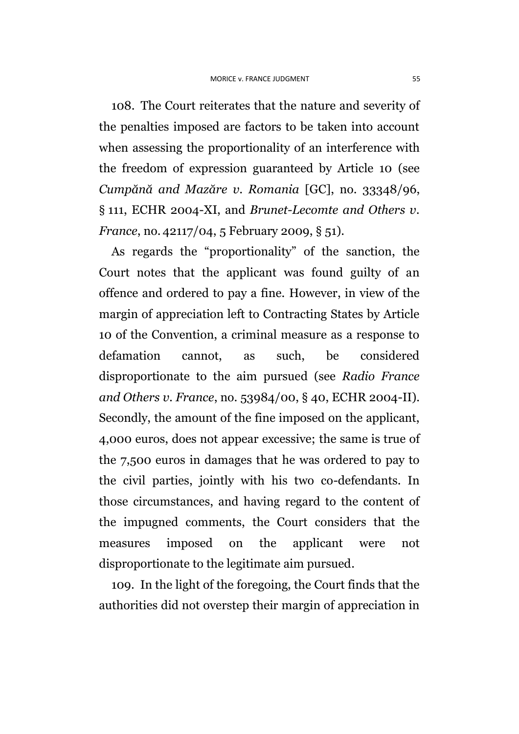108. The Court reiterates that the nature and severity of the penalties imposed are factors to be taken into account when assessing the proportionality of an interference with the freedom of expression guaranteed by Article 10 (see *Cumpănă and Mazăre v. Romania* [GC], no. 33348/96, § 111, ECHR 2004-XI, and *Brunet-Lecomte and Others v. France*, no. 42117/04, 5 February 2009, § 51).

As regards the "proportionality" of the sanction, the Court notes that the applicant was found guilty of an offence and ordered to pay a fine. However, in view of the margin of appreciation left to Contracting States by Article 10 of the Convention, a criminal measure as a response to defamation cannot, as such, be considered disproportionate to the aim pursued (see *Radio France and Others v. France*, no. 53984/00, § 40, ECHR 2004-II). Secondly, the amount of the fine imposed on the applicant, 4,000 euros, does not appear excessive; the same is true of the 7,500 euros in damages that he was ordered to pay to the civil parties, jointly with his two co-defendants. In those circumstances, and having regard to the content of the impugned comments, the Court considers that the measures imposed on the applicant were not disproportionate to the legitimate aim pursued.

109. In the light of the foregoing, the Court finds that the authorities did not overstep their margin of appreciation in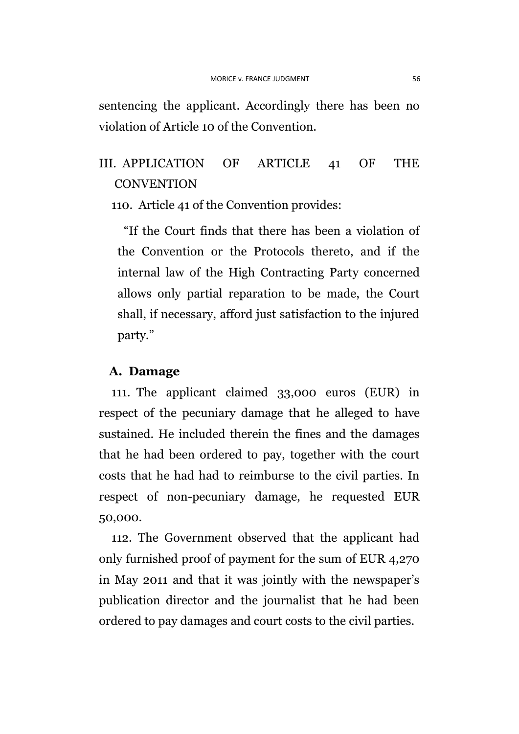sentencing the applicant. Accordingly there has been no violation of Article 10 of the Convention.

## III. APPLICATION OF ARTICLE 41 OF THE **CONVENTION**

110. Article 41 of the Convention provides:

"If the Court finds that there has been a violation of the Convention or the Protocols thereto, and if the internal law of the High Contracting Party concerned allows only partial reparation to be made, the Court shall, if necessary, afford just satisfaction to the injured party."

#### **A. Damage**

111. The applicant claimed 33,000 euros (EUR) in respect of the pecuniary damage that he alleged to have sustained. He included therein the fines and the damages that he had been ordered to pay, together with the court costs that he had had to reimburse to the civil parties. In respect of non-pecuniary damage, he requested EUR 50,000.

112. The Government observed that the applicant had only furnished proof of payment for the sum of EUR 4,270 in May 2011 and that it was jointly with the newspaper's publication director and the journalist that he had been ordered to pay damages and court costs to the civil parties.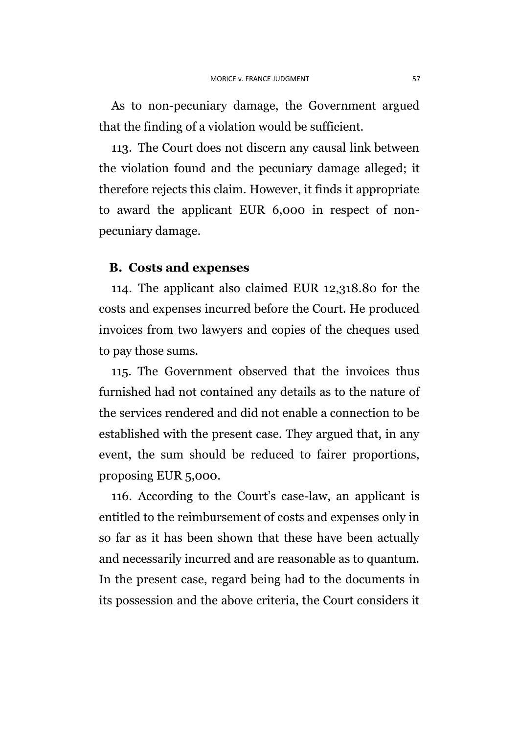As to non-pecuniary damage, the Government argued that the finding of a violation would be sufficient.

113. The Court does not discern any causal link between the violation found and the pecuniary damage alleged; it therefore rejects this claim. However, it finds it appropriate to award the applicant EUR 6,000 in respect of nonpecuniary damage.

#### **B. Costs and expenses**

114. The applicant also claimed EUR 12,318.80 for the costs and expenses incurred before the Court. He produced invoices from two lawyers and copies of the cheques used to pay those sums.

115. The Government observed that the invoices thus furnished had not contained any details as to the nature of the services rendered and did not enable a connection to be established with the present case. They argued that, in any event, the sum should be reduced to fairer proportions, proposing EUR 5,000.

116. According to the Court's case-law, an applicant is entitled to the reimbursement of costs and expenses only in so far as it has been shown that these have been actually and necessarily incurred and are reasonable as to quantum. In the present case, regard being had to the documents in its possession and the above criteria, the Court considers it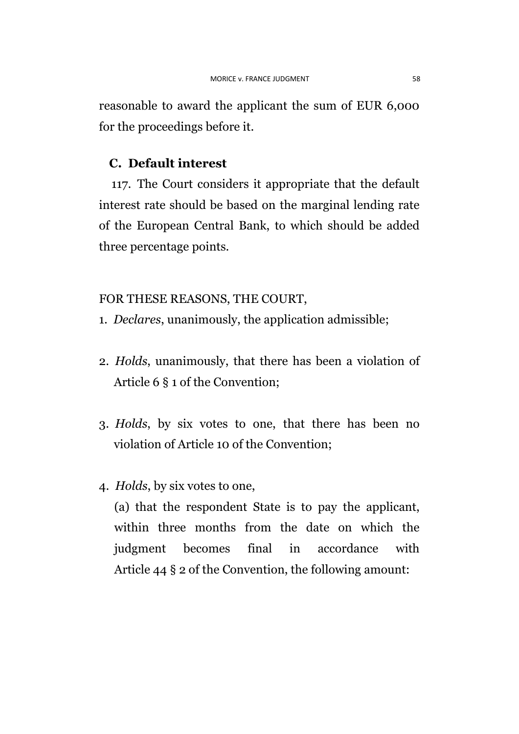reasonable to award the applicant the sum of EUR 6,000 for the proceedings before it.

## **C. Default interest**

117. The Court considers it appropriate that the default interest rate should be based on the marginal lending rate of the European Central Bank, to which should be added three percentage points.

## FOR THESE REASONS, THE COURT,

- 1. *Declares*, unanimously, the application admissible;
- 2. *Holds*, unanimously, that there has been a violation of Article 6 § 1 of the Convention;
- 3. *Holds*, by six votes to one, that there has been no violation of Article 10 of the Convention;
- 4. *Holds*, by six votes to one,

(a) that the respondent State is to pay the applicant, within three months from the date on which the judgment becomes final in accordance with Article 44 § 2 of the Convention, the following amount: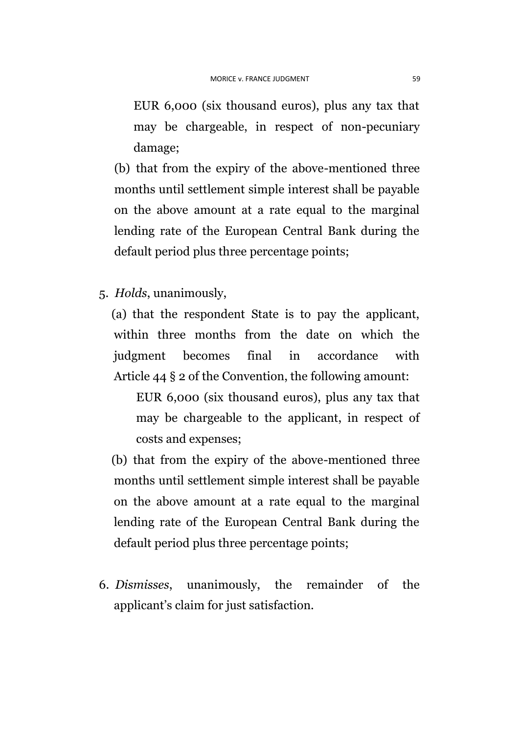EUR 6,000 (six thousand euros), plus any tax that may be chargeable, in respect of non-pecuniary damage;

(b) that from the expiry of the above-mentioned three months until settlement simple interest shall be payable on the above amount at a rate equal to the marginal lending rate of the European Central Bank during the default period plus three percentage points;

5. *Holds*, unanimously,

(a) that the respondent State is to pay the applicant, within three months from the date on which the judgment becomes final in accordance with Article 44 § 2 of the Convention, the following amount:

EUR 6,000 (six thousand euros), plus any tax that may be chargeable to the applicant, in respect of costs and expenses;

(b) that from the expiry of the above-mentioned three months until settlement simple interest shall be payable on the above amount at a rate equal to the marginal lending rate of the European Central Bank during the default period plus three percentage points;

6. *Dismisses*, unanimously, the remainder of the applicant's claim for just satisfaction.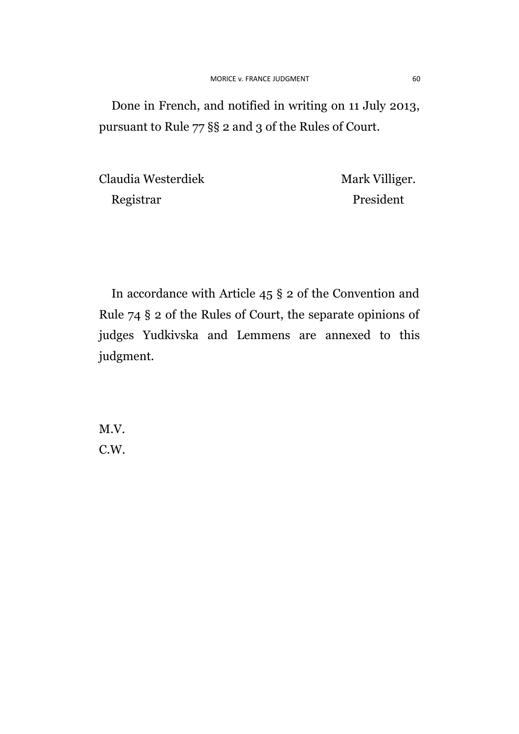Done in French, and notified in writing on 11 July 2013, pursuant to Rule 77 §§ 2 and 3 of the Rules of Court.

Claudia Westerdiek Mark Villiger. Registrar President

In accordance with Article 45 § 2 of the Convention and Rule 74 § 2 of the Rules of Court, the separate opinions of judges Yudkivska and Lemmens are annexed to this judgment.

M.V. C.W.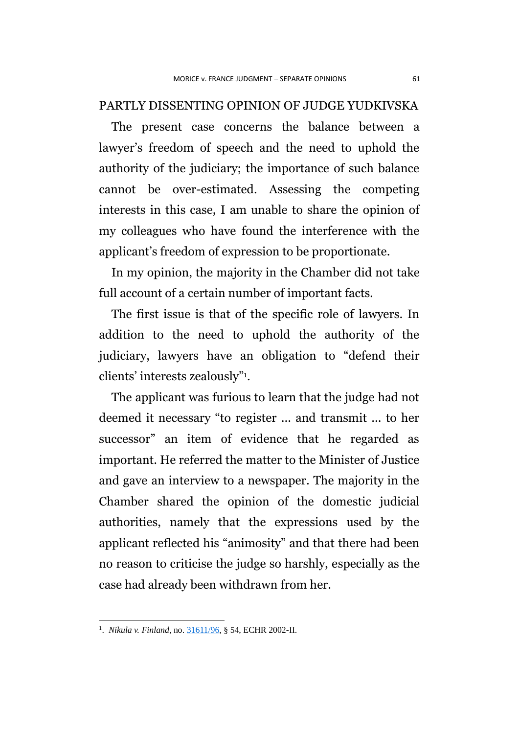### PARTLY DISSENTING OPINION OF JUDGE YUDKIVSKA

The present case concerns the balance between a lawyer's freedom of speech and the need to uphold the authority of the judiciary; the importance of such balance cannot be over-estimated. Assessing the competing interests in this case, I am unable to share the opinion of my colleagues who have found the interference with the applicant's freedom of expression to be proportionate.

In my opinion, the majority in the Chamber did not take full account of a certain number of important facts.

The first issue is that of the specific role of lawyers. In addition to the need to uphold the authority of the judiciary, lawyers have an obligation to "defend their clients' interests zealously"<sup>1</sup> .

The applicant was furious to learn that the judge had not deemed it necessary "to register ... and transmit ... to her successor" an item of evidence that he regarded as important. He referred the matter to the Minister of Justice and gave an interview to a newspaper. The majority in the Chamber shared the opinion of the domestic judicial authorities, namely that the expressions used by the applicant reflected his "animosity" and that there had been no reason to criticise the judge so harshly, especially as the case had already been withdrawn from her.

 1 . *Nikula v. Finland*, no. [31611/96,](http://hudoc.echr.coe.int/sites/fra/Pages/search.aspx#{"appno":["31611/96"]}) § 54, ECHR 2002-II.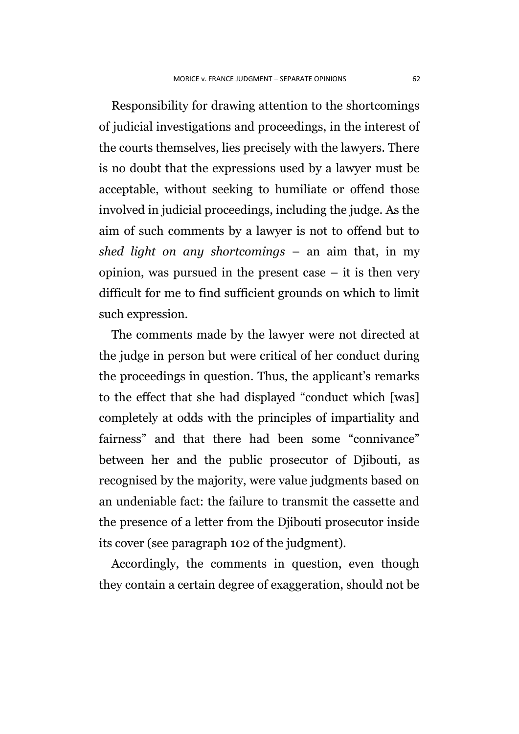Responsibility for drawing attention to the shortcomings of judicial investigations and proceedings, in the interest of the courts themselves, lies precisely with the lawyers. There is no doubt that the expressions used by a lawyer must be acceptable, without seeking to humiliate or offend those involved in judicial proceedings, including the judge. As the aim of such comments by a lawyer is not to offend but to *shed light on any shortcomings* – an aim that, in my opinion, was pursued in the present case  $-$  it is then very difficult for me to find sufficient grounds on which to limit such expression.

The comments made by the lawyer were not directed at the judge in person but were critical of her conduct during the proceedings in question. Thus, the applicant's remarks to the effect that she had displayed "conduct which [was] completely at odds with the principles of impartiality and fairness" and that there had been some "connivance" between her and the public prosecutor of Djibouti, as recognised by the majority, were value judgments based on an undeniable fact: the failure to transmit the cassette and the presence of a letter from the Djibouti prosecutor inside its cover (see paragraph 102 of the judgment).

Accordingly, the comments in question, even though they contain a certain degree of exaggeration, should not be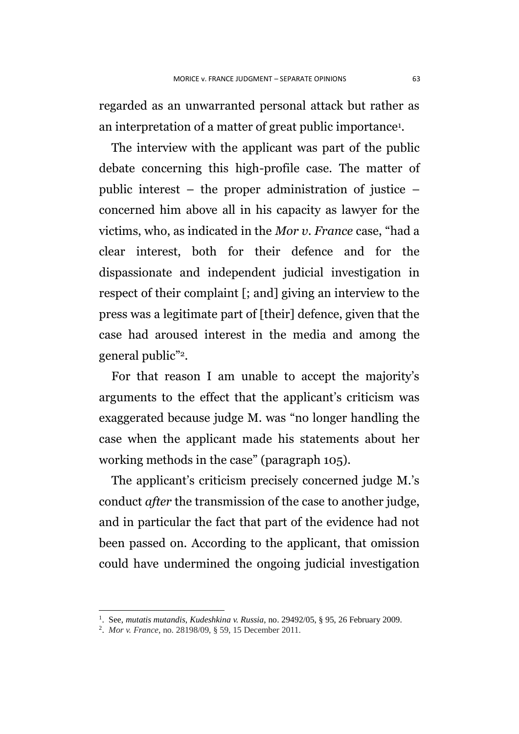regarded as an unwarranted personal attack but rather as an interpretation of a matter of great public importance<sup>1</sup>.

The interview with the applicant was part of the public debate concerning this high-profile case. The matter of public interest – the proper administration of justice – concerned him above all in his capacity as lawyer for the victims, who, as indicated in the *Mor v. France* case, "had a clear interest, both for their defence and for the dispassionate and independent judicial investigation in respect of their complaint [; and] giving an interview to the press was a legitimate part of [their] defence, given that the case had aroused interest in the media and among the general public"2.

For that reason I am unable to accept the majority's arguments to the effect that the applicant's criticism was exaggerated because judge M. was "no longer handling the case when the applicant made his statements about her working methods in the case" (paragraph 105).

The applicant's criticism precisely concerned judge M.'s conduct *after* the transmission of the case to another judge, and in particular the fact that part of the evidence had not been passed on. According to the applicant, that omission could have undermined the ongoing judicial investigation

1

<sup>1</sup> . See, *mutatis mutandis*, *Kudeshkina v. Russia*, no. 29492/05, § 95, 26 February 2009.

<sup>2</sup> . *Mor v. France*, no. 28198/09, § 59, 15 December 2011.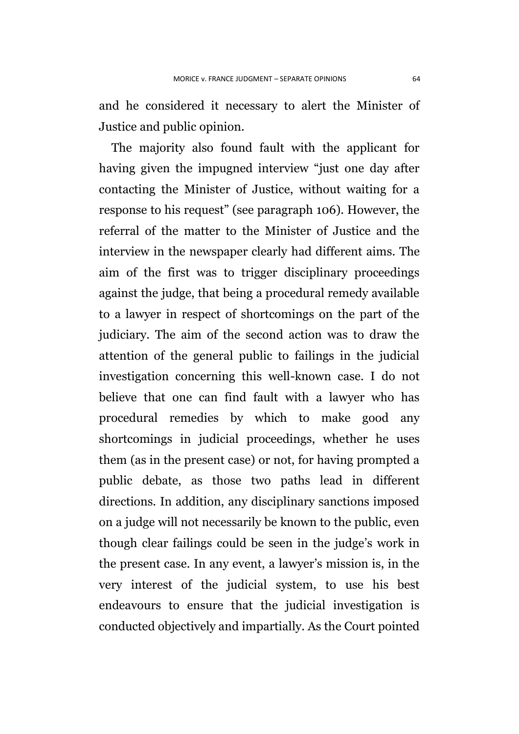and he considered it necessary to alert the Minister of Justice and public opinion.

The majority also found fault with the applicant for having given the impugned interview "just one day after contacting the Minister of Justice, without waiting for a response to his request" (see paragraph 106). However, the referral of the matter to the Minister of Justice and the interview in the newspaper clearly had different aims. The aim of the first was to trigger disciplinary proceedings against the judge, that being a procedural remedy available to a lawyer in respect of shortcomings on the part of the judiciary. The aim of the second action was to draw the attention of the general public to failings in the judicial investigation concerning this well-known case. I do not believe that one can find fault with a lawyer who has procedural remedies by which to make good any shortcomings in judicial proceedings, whether he uses them (as in the present case) or not, for having prompted a public debate, as those two paths lead in different directions. In addition, any disciplinary sanctions imposed on a judge will not necessarily be known to the public, even though clear failings could be seen in the judge's work in the present case. In any event, a lawyer's mission is, in the very interest of the judicial system, to use his best endeavours to ensure that the judicial investigation is conducted objectively and impartially. As the Court pointed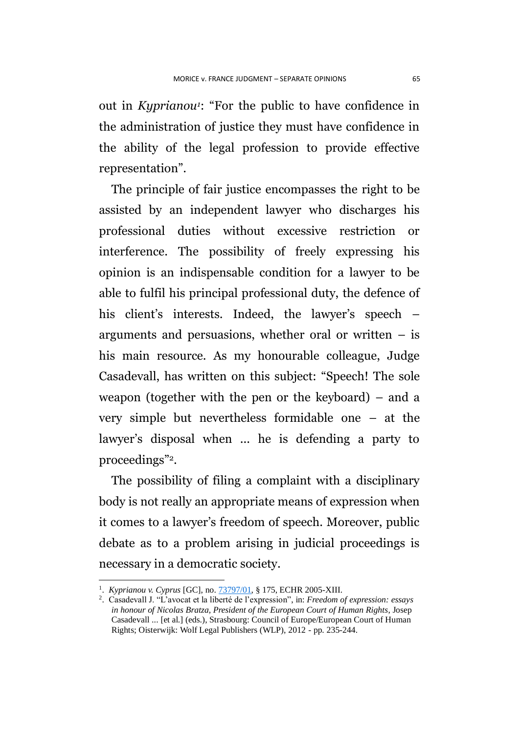out in *Kyprianou<sup>1</sup>* : "For the public to have confidence in the administration of justice they must have confidence in the ability of the legal profession to provide effective representation".

The principle of fair justice encompasses the right to be assisted by an independent lawyer who discharges his professional duties without excessive restriction or interference. The possibility of freely expressing his opinion is an indispensable condition for a lawyer to be able to fulfil his principal professional duty, the defence of his client's interests. Indeed, the lawyer's speech – arguments and persuasions, whether oral or written  $-$  is his main resource. As my honourable colleague, Judge Casadevall, has written on this subject: "Speech! The sole weapon (together with the pen or the keyboard) – and a very simple but nevertheless formidable one – at the lawyer's disposal when ... he is defending a party to proceedings"2.

The possibility of filing a complaint with a disciplinary body is not really an appropriate means of expression when it comes to a lawyer's freedom of speech. Moreover, public debate as to a problem arising in judicial proceedings is necessary in a democratic society.

1

<sup>1</sup> . *Kyprianou v. Cyprus* [GC], no. [73797/01,](http://hudoc.echr.coe.int/sites/fra/Pages/search.aspx#{"appno":["73797/01"]}) § 175, ECHR 2005-XIII.

<sup>2</sup> . Casadevall J. "L'avocat et la liberté de l'expression", in: *Freedom of expression: essays in honour of Nicolas Bratza, President of the European Court of Human Rights*, Josep Casadevall ... [et al.] (eds.), Strasbourg: Council of Europe/European Court of Human Rights; Oisterwijk: Wolf Legal Publishers (WLP), 2012 - pp. 235-244.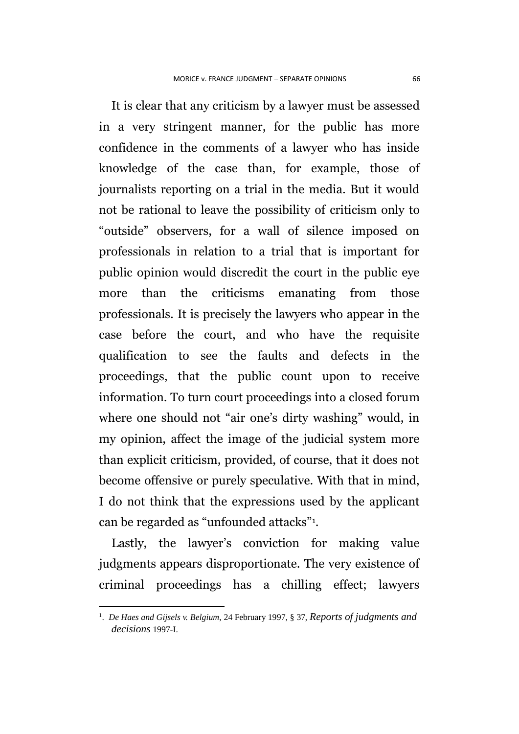It is clear that any criticism by a lawyer must be assessed in a very stringent manner, for the public has more confidence in the comments of a lawyer who has inside knowledge of the case than, for example, those of journalists reporting on a trial in the media. But it would not be rational to leave the possibility of criticism only to "outside" observers, for a wall of silence imposed on professionals in relation to a trial that is important for public opinion would discredit the court in the public eye more than the criticisms emanating from those professionals. It is precisely the lawyers who appear in the case before the court, and who have the requisite qualification to see the faults and defects in the proceedings, that the public count upon to receive information. To turn court proceedings into a closed forum where one should not "air one's dirty washing" would, in my opinion, affect the image of the judicial system more than explicit criticism, provided, of course, that it does not become offensive or purely speculative. With that in mind, I do not think that the expressions used by the applicant can be regarded as "unfounded attacks"<sup>1</sup> .

Lastly, the lawyer's conviction for making value judgments appears disproportionate. The very existence of criminal proceedings has a chilling effect; lawyers

1

<sup>1</sup> . *De Haes and Gijsels v. Belgium*, 24 February 1997, § 37, *Reports of judgments and decisions* 1997-I.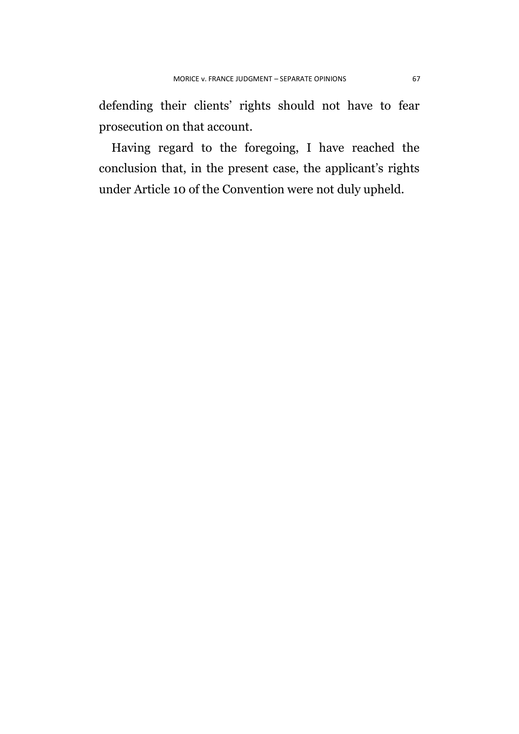defending their clients' rights should not have to fear prosecution on that account.

Having regard to the foregoing, I have reached the conclusion that, in the present case, the applicant's rights under Article 10 of the Convention were not duly upheld.